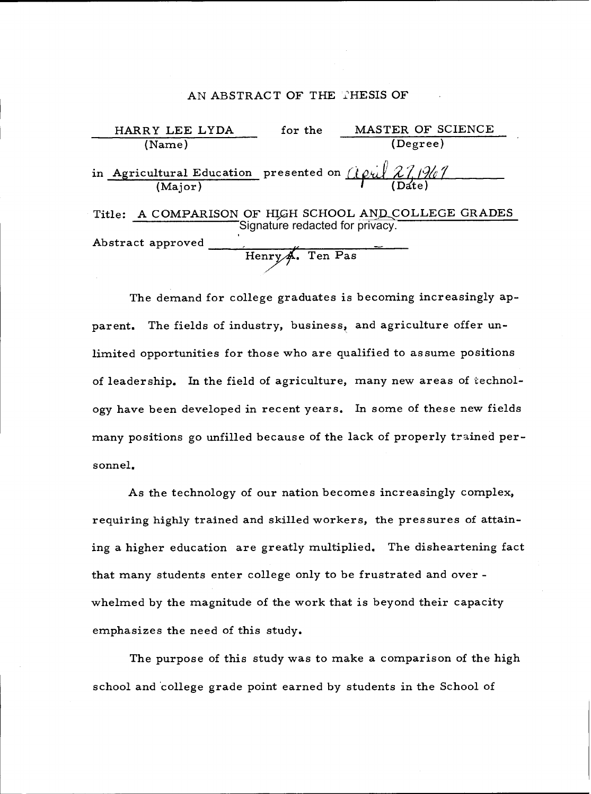### AN ABSTRACT OF THE THESIS OF

| HARRY LEE LYDA                                                                                      | for the                         | MASTER OF SCIENCE                                     |  |
|-----------------------------------------------------------------------------------------------------|---------------------------------|-------------------------------------------------------|--|
| (Name)                                                                                              |                                 | (Degree)                                              |  |
| in Agricultural Education presented on $\frac{\partial \rho_i}{\partial \lambda}$ 27/267<br>(Major) |                                 |                                                       |  |
|                                                                                                     | Signature redacted for privacy. | Title: A COMPARISON OF HIGH SCHOOL AND COLLEGE GRADES |  |
| Abstract approved                                                                                   | Henry A. Ten Pas                |                                                       |  |

The demand for college graduates is becoming increasingly apparent. The fields of industry, business, and agriculture offer unlimited opportunities for those who are qualified to assume positions of leadership. In the field of agriculture, many new areas of technology have been developed in recent years. In some of these new fields many positions go unfilled because of the lack of properly trained personnel.

As the technology of our nation becomes increasingly complex, requiring highly trained and skilled workers, the pressures of attaining a higher education are greatly multiplied. The disheartening fact that many students enter college only to be frustrated and over whelmed by the magnitude of the work that is beyond their capacity emphasizes the need of this study.

The purpose of this study was to make a comparison of the high school and 'college grade point earned by students in the School of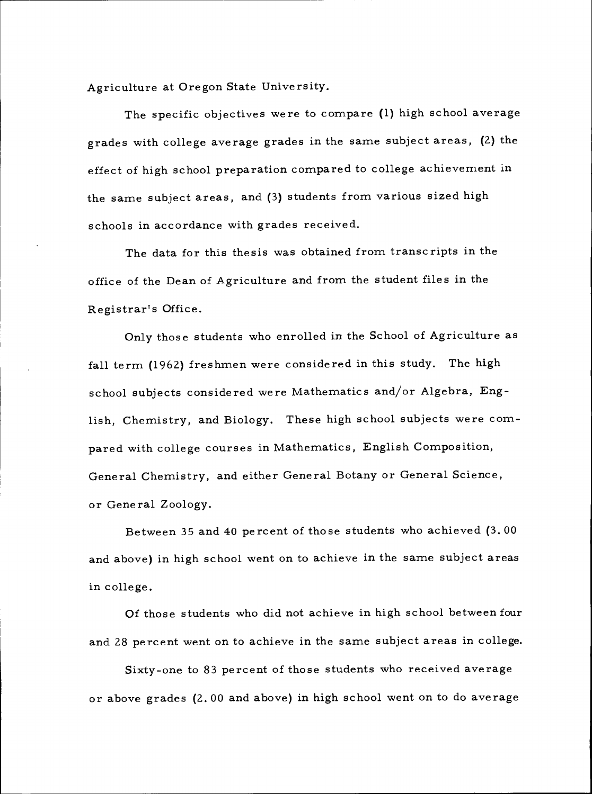Agriculture at Oregon State University.

The specific objectives were to compare (1) high school average grades with college average grades in the same subject areas, (2) the effect of high school preparation compared to college achievement in the same subject areas, and (3) students from various sized high schools in accordance with grades received.

The data for this thesis was obtained from transcripts in the office of the Dean of Agriculture and from the student files in the Registrar's Office.

Only those students who enrolled in the School of Agriculture as fall term (1962) freshmen were considered in this study. The high school subjects considered were Mathematics and/or Algebra, English, Chemistry, and Biology. These high school subjects were compared with college courses in Mathematics, English Composition, General Chemistry, and either General Botany or General Science, or General Zoology.

Between 35 and 40 percent of those students who achieved (3.00 and above) in high school went on to achieve in the same subject areas in college.

Of those students who did not achieve in high school between four and 28 percent went on to achieve in the same subject areas in college.

Sixty-one to 83 percent of those students who received average or above grades (2.00 and above) in high school went on to do average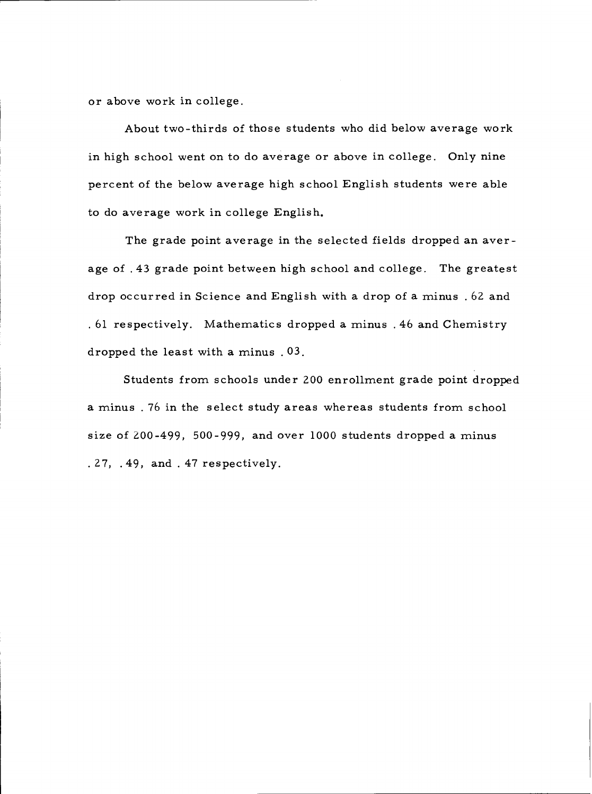or above work in college.

About two-thirds of those students who did below average work in high school went on to do average or above in college. Only nine percent of the below average high school English students were able to do average work in college English.

The grade point average in the selected fields dropped an average of .43 grade point between high school and college. The greatest drop occurred in Science and English with a drop of a minus . 62 and 61 respectively. Mathematics dropped a minus .46 and Chemistry dropped the least with a minus .03.

Students from schools under 200 enrollment grade point dropped a minus 76 in the select study areas whereas students from school size of 200-499, 500-999, and over 1000 students dropped a minus 27, .49, and . 47 respectively.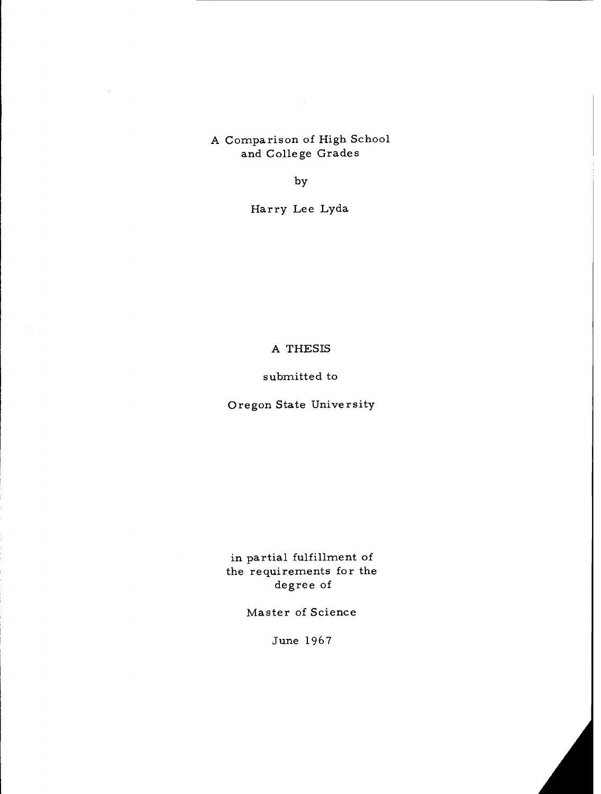A Comparison of High School and College Grades

by

Harry Lee Lyda

# A THESIS

### submitted to

# Oregon State University

in partial fulfillment of the requirements for the degree of

Master of Science

June 1967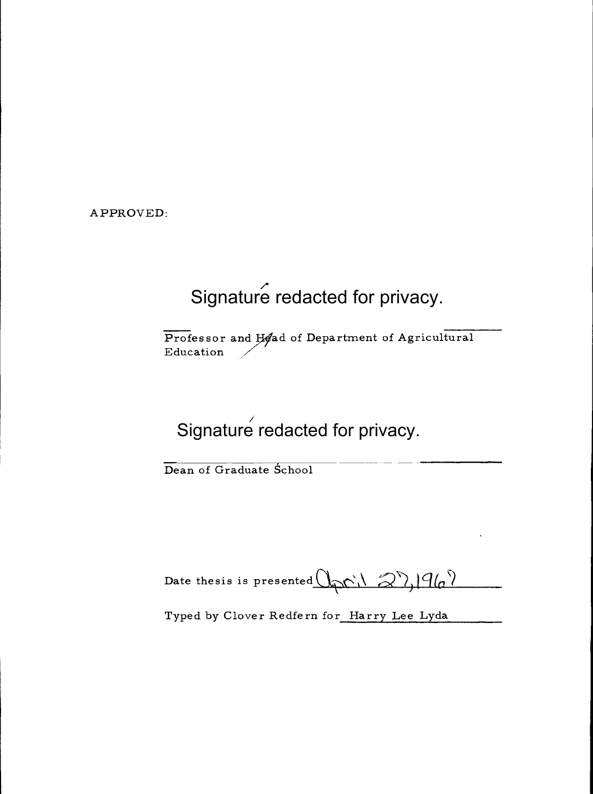APPROVED:

# Signature redacted for privacy.

Professor and Head of Department of Agricultural Education

# Signature redacted for privacy.

Dean of Graduate School

Date thesis is presented  $\mathbb{Q}_{p}$  (1, 2),  $|q_{q}\rangle$ 

Typed by Clover Redfern for Harry Lee Lyda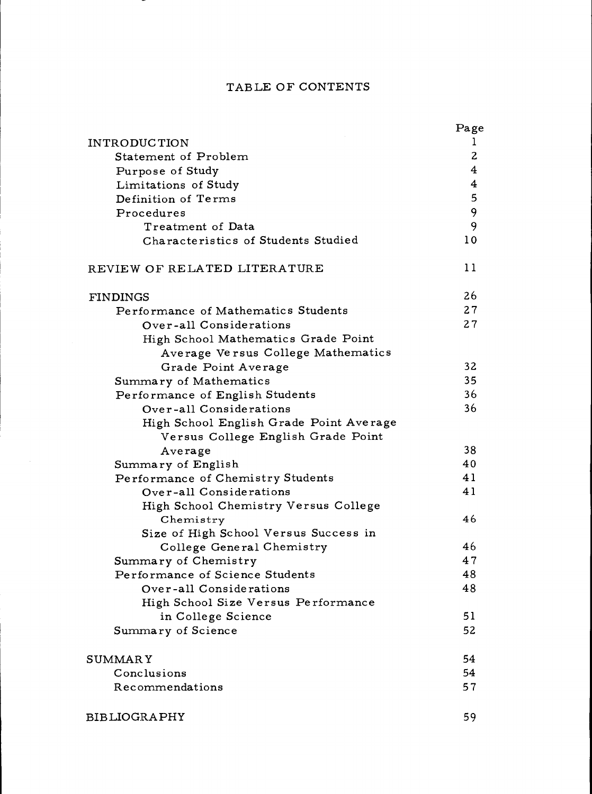# TABLE OF CONTENTS

|                                                                               | Page           |
|-------------------------------------------------------------------------------|----------------|
| <b>INTRODUCTION</b>                                                           | $\perp$        |
| Statement of Problem                                                          | $\overline{c}$ |
| Purpose of Study                                                              | 4              |
| Limitations of Study                                                          | 4              |
| Definition of Terms                                                           | 5              |
| Procedures                                                                    | 9              |
| Treatment of Data                                                             | 9              |
| Characteristics of Students Studied                                           | 10             |
| REVIEW OF RELATED LITERATURE                                                  | 11             |
| <b>FINDINGS</b>                                                               | 26             |
| Performance of Mathematics Students                                           | 27             |
| Over-all Considerations                                                       | 27             |
| High School Mathematics Grade Point                                           |                |
| Average Versus College Mathematics                                            |                |
| Grade Point Average                                                           | 32             |
| Summary of Mathematics                                                        | 35             |
| Performance of English Students                                               | 36             |
| Over-all Considerations                                                       | 36             |
| High School English Grade Point Average<br>Versus College English Grade Point |                |
| Average                                                                       | 38             |
| Summary of English                                                            | 40             |
| Performance of Chemistry Students                                             | 41             |
| Over-all Considerations                                                       | 41             |
| High School Chemistry Versus College                                          |                |
| Chemistry                                                                     | 46             |
| Size of High School Versus Success in                                         |                |
| College General Chemistry                                                     | 46             |
| Summary of Chemistry                                                          | 47             |
| Performance of Science Students                                               | 48             |
| Over-all Considerations                                                       | 48             |
| High School Size Versus Performance                                           |                |
| in College Science                                                            | 51             |
| Summary of Science                                                            | 52             |
| <b>SUMMARY</b>                                                                | 54             |
| Conclusions                                                                   | 54             |
| Recommendations                                                               | 57             |
| <b>BIBLIOGRAPHY</b>                                                           | 59             |

 $\mathcal{L}$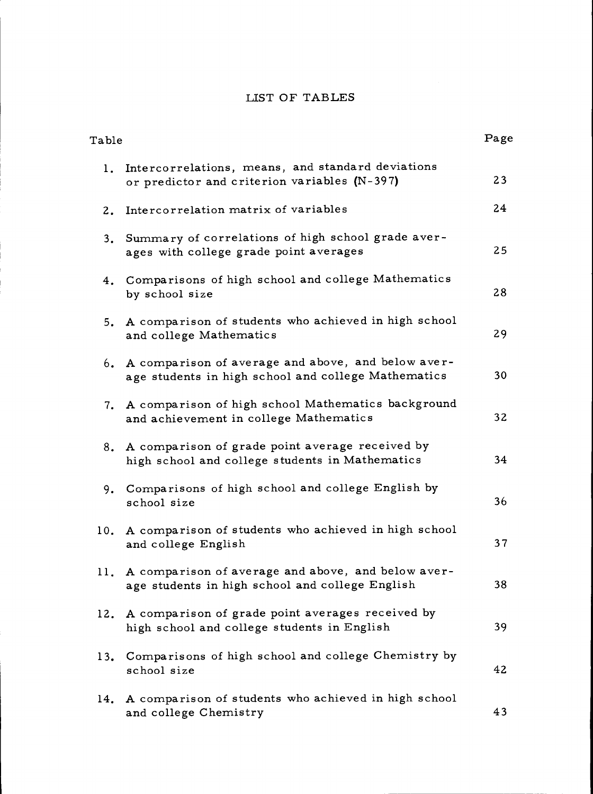## LIST OF TABLES

| Table |                                                                                                              | Page |  |
|-------|--------------------------------------------------------------------------------------------------------------|------|--|
|       | 1. Intercorrelations, means, and standard deviations<br>or predictor and criterion variables (N-397)         | 23   |  |
| 2.    | Intercorrelation matrix of variables                                                                         | 24   |  |
| 3.    | Summary of correlations of high school grade aver-<br>ages with college grade point averages                 | 25   |  |
|       | 4. Comparisons of high school and college Mathematics<br>by school size                                      | 28   |  |
| 5.    | A comparison of students who achieved in high school<br>and college Mathematics                              | 29   |  |
|       | 6. A comparison of average and above, and below aver-<br>age students in high school and college Mathematics | 30   |  |
| 7.    | A comparison of high school Mathematics background<br>and achievement in college Mathematics                 | 32   |  |
| 8.    | A comparison of grade point average received by<br>high school and college students in Mathematics           | 34   |  |
| 9.    | Comparisons of high school and college English by<br>school size                                             | 36   |  |
| 10.   | A comparison of students who achieved in high school<br>and college English                                  | 37   |  |
|       | 11. A comparison of average and above, and below aver-<br>age students in high school and college English    | 38   |  |
| 12.   | A comparison of grade point averages received by<br>high school and college students in English              | 39   |  |
| 13.   | Comparisons of high school and college Chemistry by<br>school size                                           | 42   |  |
| 14.   | A comparison of students who achieved in high school<br>and college Chemistry                                | 43   |  |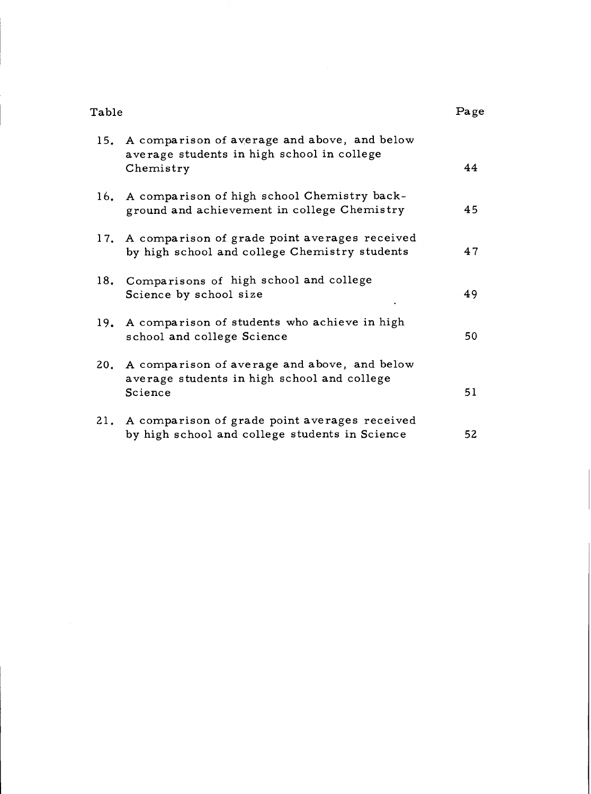| Table |                                                                                                             | Page |
|-------|-------------------------------------------------------------------------------------------------------------|------|
|       | 15. A comparison of average and above, and below<br>average students in high school in college<br>Chemistry | 44   |
|       | 16. A comparison of high school Chemistry back-<br>ground and achievement in college Chemistry              | 45   |
|       | 17. A comparison of grade point averages received<br>by high school and college Chemistry students          | 47   |
|       | 18. Comparisons of high school and college<br>Science by school size                                        | 49   |
| 19.   | A comparison of students who achieve in high<br>school and college Science                                  | 50   |
|       | 20. A comparison of average and above, and below<br>average students in high school and college<br>Science  | 51   |
| 21.   | A comparison of grade point averages received<br>by high school and college students in Science             | 52   |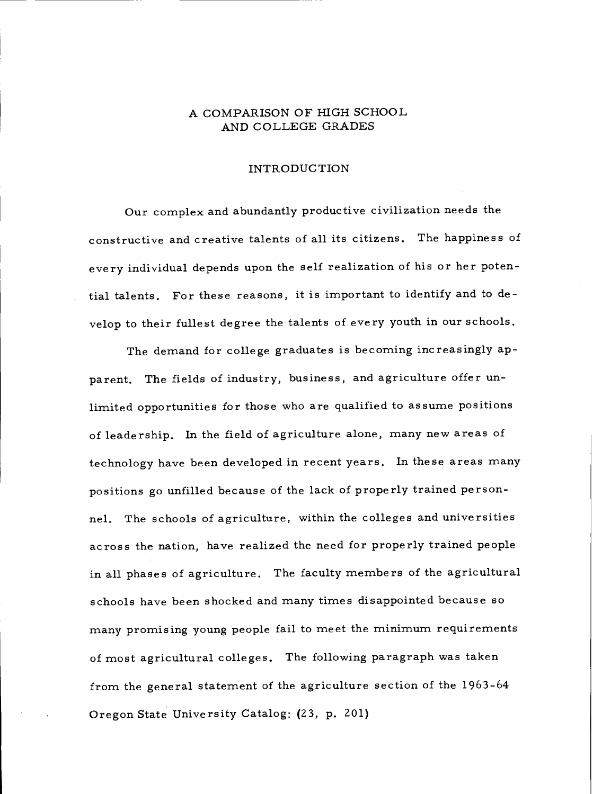### A COMPARISON OF HIGH SCHOOL AND COLLEGE GRADES

### INTRODUCTION

Our complex and abundantly productive civilization needs the constructive and creative talents of all its citizens. The happiness of every individual depends upon the self realization of his or her potential talents. For these reasons, it is important to identify and to develop to their fullest degree the talents of every youth in our schools.

The demand for college graduates is becoming increasingly apparent. The fields of industry, business, and agriculture offer unlimited opportunities for those who are qualified to assume positions of leadership. In the field of agriculture alone, many new areas of technology have been developed in recent years. In these areas many positions go unfilled because of the lack of properly trained personnel. The schools of agriculture, within the colleges and universities across the nation, have realized the need for properly trained people in all phases of agriculture. The faculty members of the agricultural schools have been shocked and many times disappointed because so many promising young people fail to meet the minimum requirements of most agricultural colleges. The following paragraph was taken from the general statement of the agriculture section of the 1963-64 Oregon State University Catalog: (23, p. 201)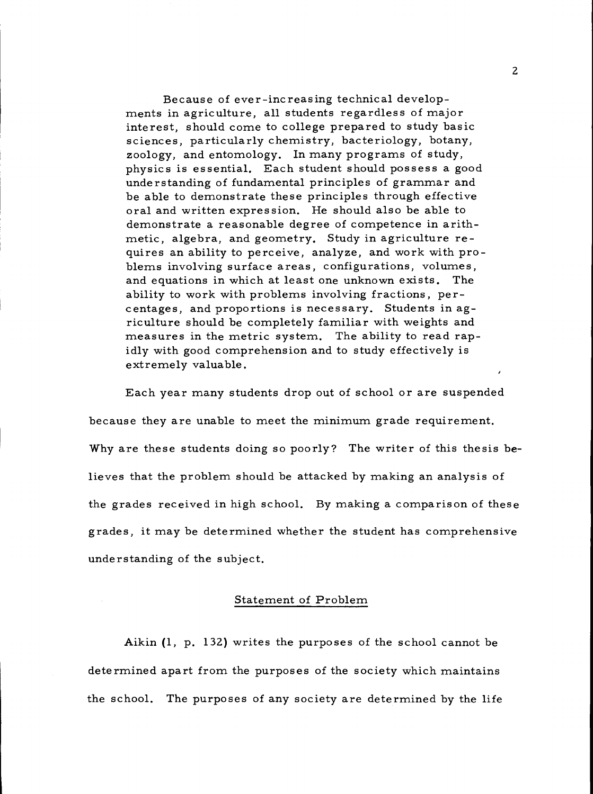Because of ever-increasing technical develop- ments in agriculture, all students regardless of major interest, should come to college prepared to study basic sciences, particularly chemistry, bacteriology, botany, zoology, and entomology. In many programs of study, physics is essential. Each student should possess a good understanding of fundamental principles of grammar and be able to demonstrate these principles through effective oral and written expression. He should also be able to demonstrate a reasonable degree of competence in arith-<br>metic, algebra, and geometry. Study in agriculture re-<br>quires an ability to perceive, analyze, and work with problems involving surface areas, configurations, volumes, and equations in which at least one unknown exists. The ability to work with problems involving fractions, per- centages, and proportions is necessary. Students in agriculture should be completely familiar with weights and measures in the metric system. The ability to read rapidly with good comprehension and to study effectively is extremely valuable.

Each year many students drop out of school or are suspended because they are unable to meet the minimum grade requirement. Why are these students doing so poorly? The writer of this thesis believes that the problem should be attacked by making an analysis of the grades received in high school. By making a comparison of these grades, it may be determined whether the student has comprehensive understanding of the subject.

#### Statement of Problem

Aikin (1, p. 132) writes the purposes of the school cannot be determined apart from the purposes of the society which maintains the school. The purposes of any society are determined by the life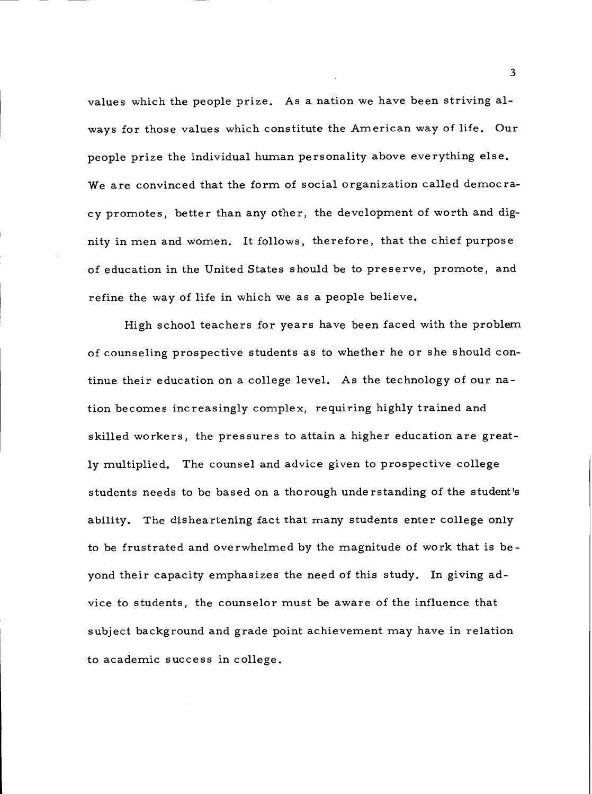values which the people prize. As a nation we have been striving always for those values which constitute the American way of life. Our people prize the individual human personality above everything else. We are convinced that the form of social organization called democracy promotes, better than any other, the development of worth and dignity in men and women. It follows, therefore, that the chief purpose of education in the United States should be to preserve, promote, and refine the way of life in which we as a people believe.

High school teachers for years have been faced with the problem of counseling prospective students as to whether he or she should continue their education on a college level. As the technology of our nation becomes increasingly complex, requiring highly trained and skilled workers, the pressures to attain a higher education are greatly multiplied. The counsel and advice given to prospective college students needs to be based on a thorough understanding of the student's ability. The disheartening fact that many students enter college only to be frustrated and overwhelmed by the magnitude of work that is beyond their capacity emphasizes the need of this study. In giving advice to students, the counselor must be aware of the influence that subject background and grade point achievement may have in relation to academic success in college.

3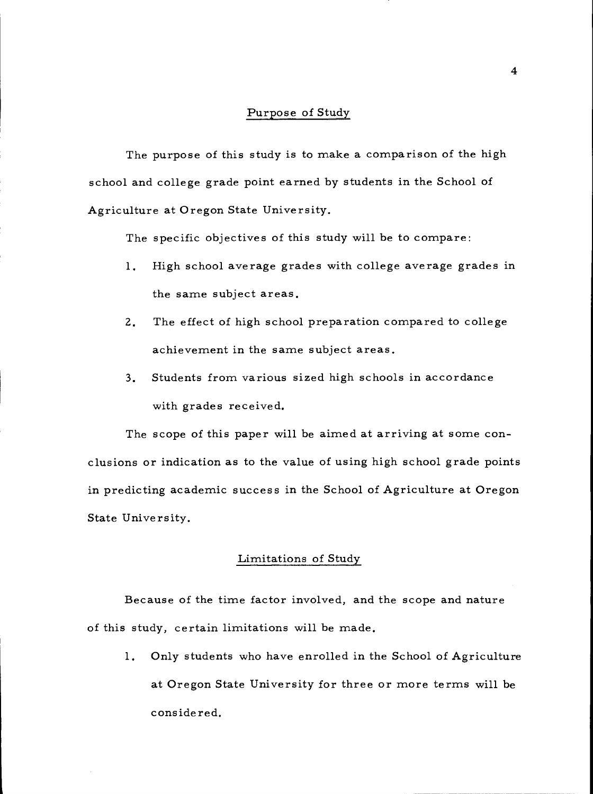### Purpose of Study

The purpose of this study is to make a comparison of the high school and college grade point earned by students in the School of Agriculture at Oregon State University.

The specific objectives of this study will be to compare:

- High school average grades with college average grades in 1. the same subject areas.
- $2.$ The effect of high school preparation compared to college achievement in the same subject areas.
- Students from various sized high schools in accordance  $3.$ with grades received.

The scope of this paper will be aimed at arriving at some conclusions or indication as to the value of using high school grade points in predicting academic success in the School of Agriculture at Oregon State University.

### Limitations of Study

Because of the time factor involved, and the scope and nature of this study, certain limitations will be made.

1. Only students who have enrolled in the School of Agriculture at Oregon State University for three or more terms will be considered.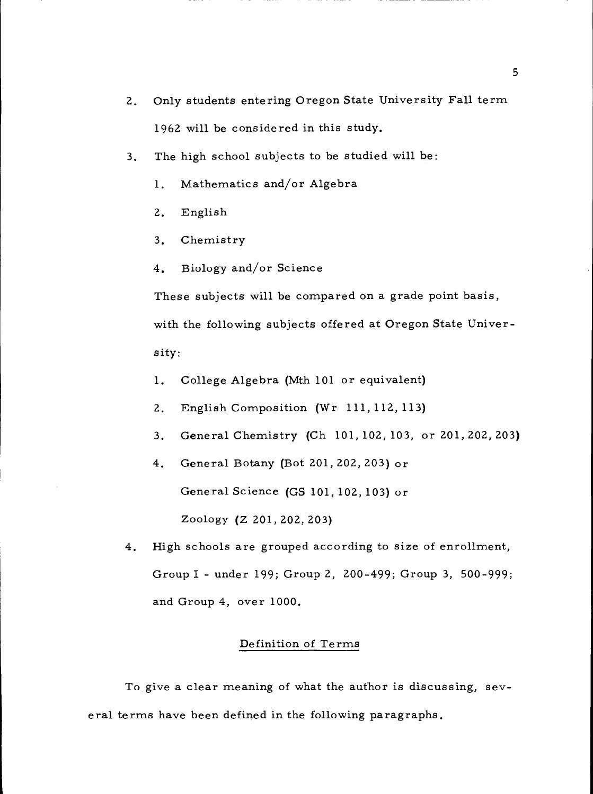- 2. Only students entering Oregon State University Fall term 1962 will be considered in this study.
- 3. The high school subjects to be studied will be:
	- 1. Mathematics and/or Algebra
	- $2.$ English
	- $3.$ Chemistry
	- Biology and/or Science  $4.$

These subjects will be compared on a grade point basis, with the following subjects offered at Oregon State University:

- College Algebra (Mth 101 or equivalent)  $1.$
- English Composition (Wr 111, 112, 113)  $\overline{2}$ .
- General Chemistry (Ch 101, 102, 103, or 201, 202, 203)  $3.$
- $4.$ General Botany (Bot 201, 202, 203) or

General Science (GS 101, 102, 103) or

Zoology (Z 201,202,203)

4. High schools are grouped according to size of enrollment, Group I - under 199; Group 2, 200-499; Group 3, 500-999; and Group 4, over 1000.

### Definition of Terms

To give a clear meaning of what the author is discussing, several terms have been defined in the following paragraphs.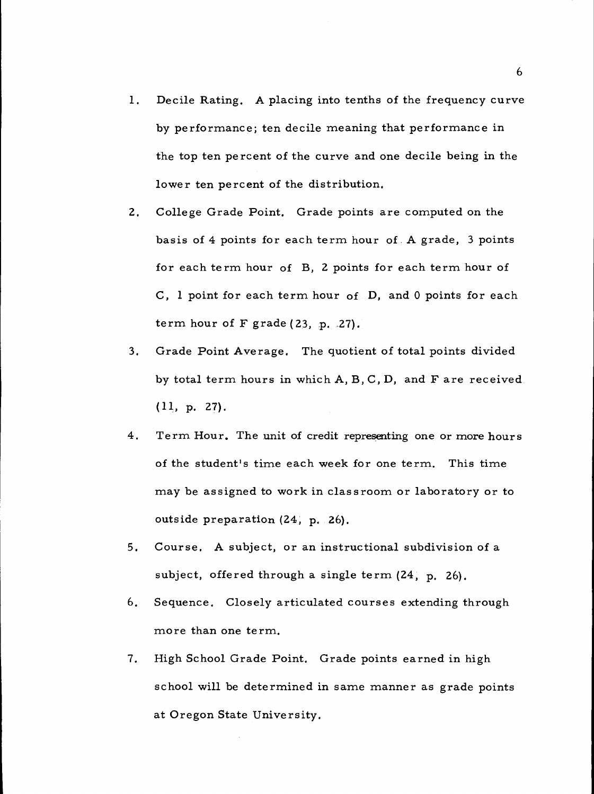- $1.$ Decile Rating. A placing into tenths of the frequency curve by performance; ten decile meaning that performance in the top ten percent of the curve and one decile being in the lower ten percent of the distribution.
- College Grade Point. Grade points are computed on the  $2.$ basis of 4 points for each term hour of A grade, 3 points for each term hour of B, 2 points for each term hour of C, 1 point for each term hour of D, and 0 points for each term hour of F grade (23, p. 27).
- Grade Point Average. The quotient of total points divided  $3.$ by total term hours in which A, B, C, D, and F are received (11, p. 27).
- $4.$ Term Hour. The unit of credit representing one or more hours of the student's time each week for one term. This time may be assigned to work in classroom or laboratory or to outside preparation (24, p, 26),
- $5.$ Course. A subject, or an instructional subdivision of a subject, offered through a single term  $(24, p. 26)$ .
- 6. Sequence. Closely articulated courses extending through more than one term.
- $7.$ High School Grade Point. Grade points earned in high school will be determined in same manner as grade points at Oregon State University.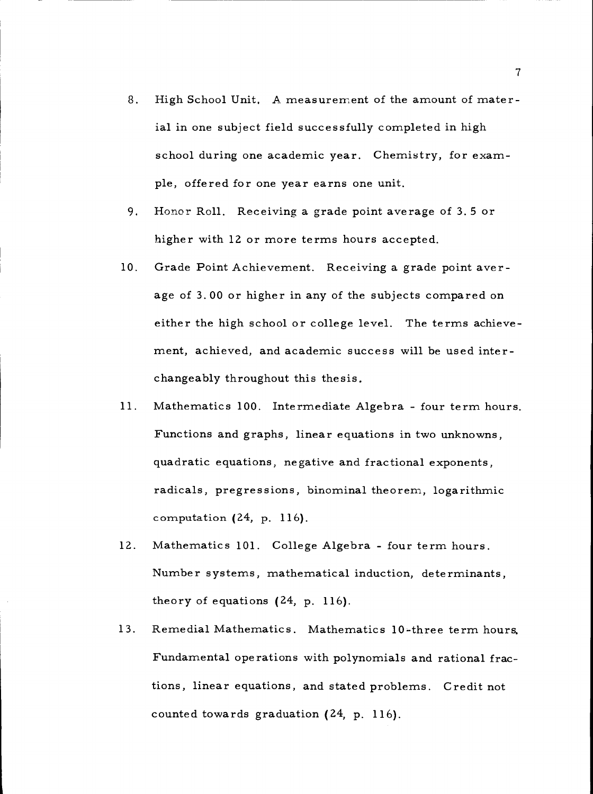- High School Unit. A measurement of the amount of mater-8. ial in one subject field successfully completed in high school during one academic year. Chemistry, for example, offered for one year earns one unit.
- Honor Roll. Receiving a grade point average of 3.5 or 9. higher with 12 or more terms hours accepted.
- $10.$ Grade Point Achievement. Receiving a grade point average of 3.00 or higher in any of the subjects compared on either the high school or college level. The terms achievement, achieved, and academic success will be used interchangeably throughout this thesis.
- Mathematics 100. Intermediate Algebra four term hours.  $11.$ Functions and graphs, linear equations in two unknowns, quadratic equations, negative and fractional exponents, radicals, pregressions, binominal theorem, logarithmic computation (24, p. 116).
- 12. Mathematics 101. College Algebra - four term hours, Number systems, mathematical induction, determinants, theory of equations (24, p. 116).
- $13.$ Remedial Mathematics. Mathematics 10-three term hours. Fundamental operations with polynomials and rational fractions, linear equations, and stated problems. Credit not counted towards graduation (24, p, 116).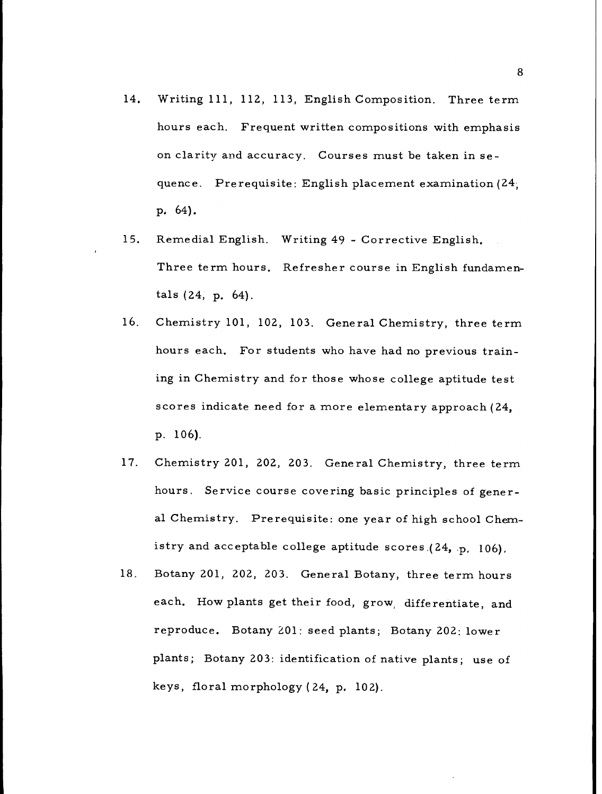- 14. Writing 111, 112, 113, English Composition. Three term hours each. Frequent written compositions with emphasis on clarity and accuracy. Courses must be taken in sequence. Prerequisite: English placement examination (24, p, 64).
- 15. Remedial English. Writing 49 - Corrective English. Three term hours. Refresher course in English fundamentals (24, p. 64),
- hours each. For students who have had no previous training in Chemistry and for those whose college aptitude test scores indicate need for a more elementary approach (24, p. 106), 16. Chemistry 101, 102, 103. General Chemistry, three term
- Chemistry 201, 202, 203. General Chemistry, three term 17. hours. Service course covering basic principles of general Chemistry. Prerequisite: one year of high school Chemistry and acceptable college aptitude scores  $(24, p, 106)$ .
- 18. Botany 201, 202, 203. General Botany, three term hours each. How plants get their food, grow, differentiate, and reproduce. Botany 201: seed plants; Botany 202: lower plants; Botany 203: identification of native plants; use of keys, floral morphology (24, p. 102),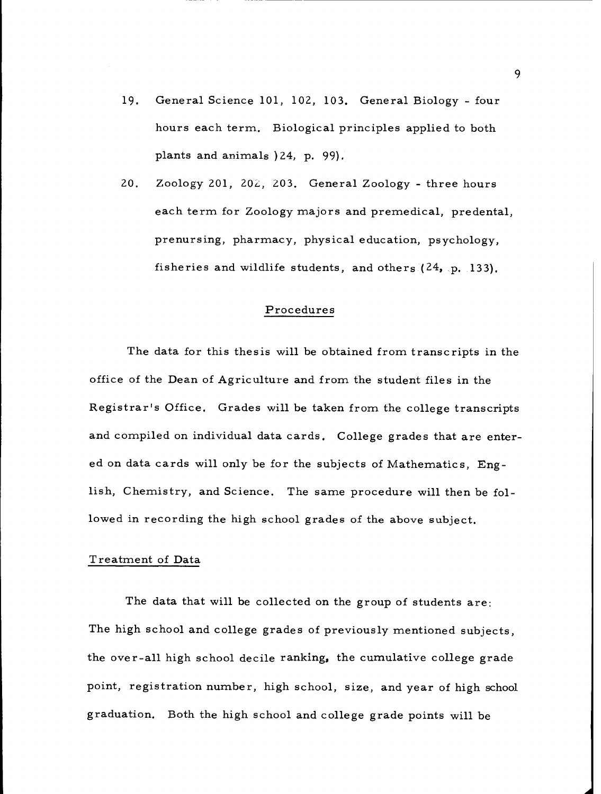- General Science 101, 102, 103. General Biology four 19. hours each term. Biological principles applied to both plants and animals )24, p. 99).
- $20.$ Zoology 201, 202, 203. General Zoology - three hours each term for Zoology majors and premedical, predental, prenursing, pharmacy, physical education, psychology, fisheries and wildlife students, and others  $(24, p, 133)$ .

### Procedures

The data for this thesis will be obtained from transcripts in the office of the Dean of Agriculture and from the student files in the Registrar's Office. Grades will be taken from the college transcripts and compiled on individual data cards. College grades that are entered on data cards will only be for the subjects of Mathematics, English, Chemistry, and Science. The same procedure will then be followed in recording the high school grades of the above subject.

### Treatment of Data

The data that will be collected on the group of students are: The high school and college grades of previously mentioned subjects, the over-all high school decile ranking, the cumulative college grade point, registration number, high school, size, and year of high school graduation. Both the high school and college grade points will be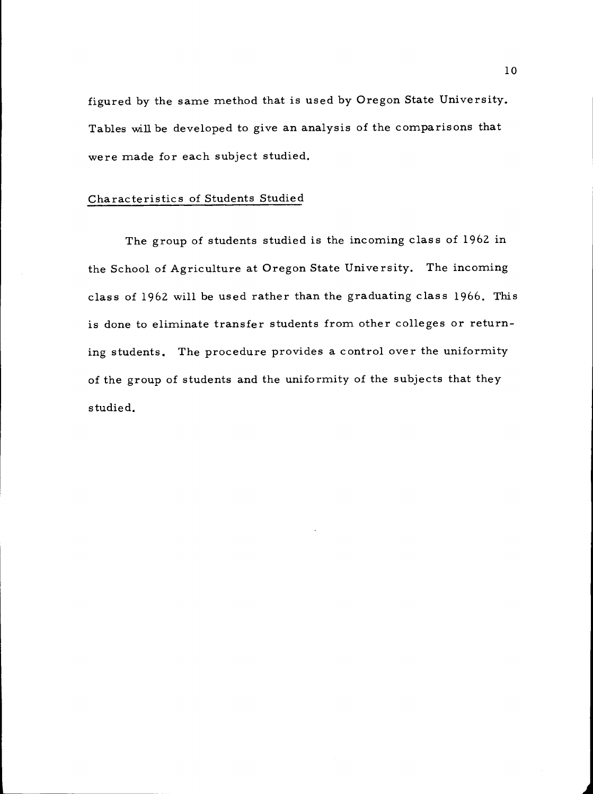figured by the same method that is used by Oregon State University. Tables will be developed to give an analysis of the comparisons that were made for each subject studied.

### Characteristics of Students Studied

The group of students studied is the incoming class of 1962 in the School of Agriculture at Oregon State University. The incoming class of 1962 will be used rather than the graduating class 1966. This is done to eliminate transfer students from other colleges or returning students. The procedure provides a control over the uniformity of the group of students and the uniformity of the subjects that they studied.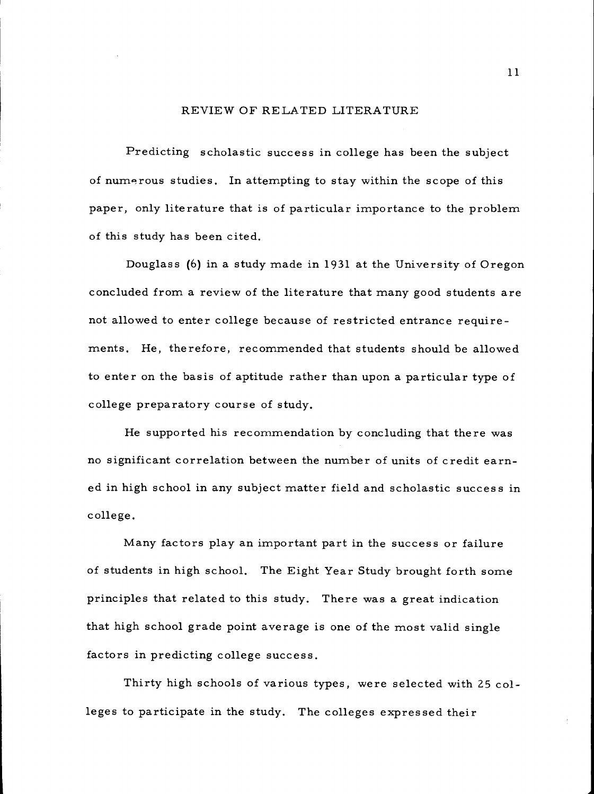### REVIEW OF RELATED LITERATURE

Predicting scholastic success in college has been the subject of numerous studies. In attempting to stay within the scope of this paper, only literature that is of particular importance to the problem of this study has been cited.

Douglass (6) in a study made in 1931 at the University of Oregon concluded from a review of the literature that many good students are not allowed to enter college because of restricted entrance requirements. He, therefore, recommended that students should be allowed to enter on the basis of aptitude rather than upon a particular type of college preparatory course of study.

He supported his recommendation by concluding that there was no significant correlation between the number of units of credit earned in high school in any subject matter field and scholastic success in college.

Many factors play an important part in the success or failure of students in high school. The Eight Year Study brought forth some principles that related to this study. There was a great indication that high school grade point average is one of the most valid single factors in predicting college success.

Thirty high schools of various types, were selected with 25 colleges to participate in the study. The colleges expressed their

11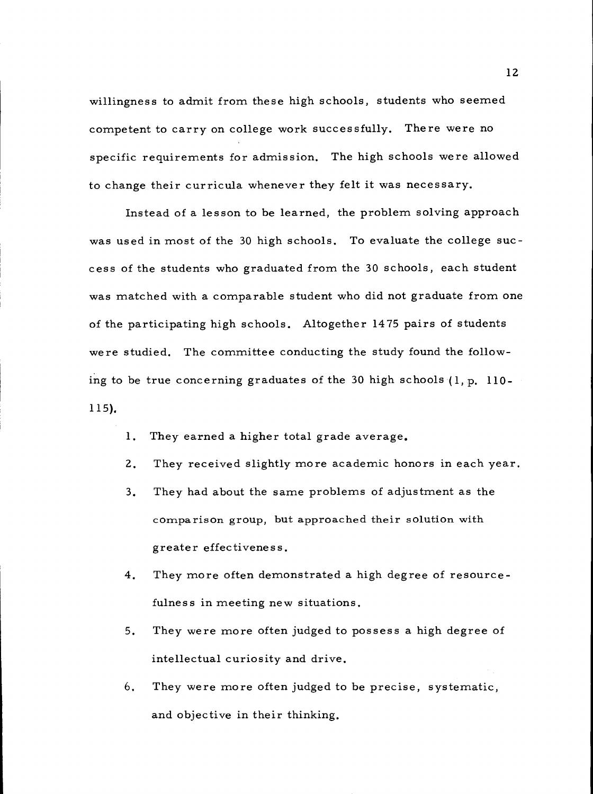willingness to admit from these high schools, students who seemed competent to carry on college work successfully. There were no specific requirements for admission. The high schools were allowed to change their curricula whenever they felt it was necessary.

Instead of a lesson to be learned, the problem solving approach was used in most of the 30 high schools. To evaluate the college success of the students who graduated from the 30 schools, each student was matched with a comparable student who did not graduate from one of the participating high schools. Altogether 1475 pairs of students were studied. The committee conducting the study found the following to be true concerning graduates of the 30 high schools  $(1, p, 110 -$ 115).

- They earned a higher total grade average.  $\mathbf{1}$ .
- $2.$ They received slightly more academic honors in each year.
- They had about the same problems of adjustment as the  $3<sub>1</sub>$ comparison group, but approached their solution with greater effectiveness.
- $4.$ They more often demonstrated a high degree of resourcefulness in meeting new situations.
- $5.$ They were more often judged to possess a high degree of intellectual curiosity and drive.
- They were more often judged to be precise, systematic, 6. and objective in their thinking.

12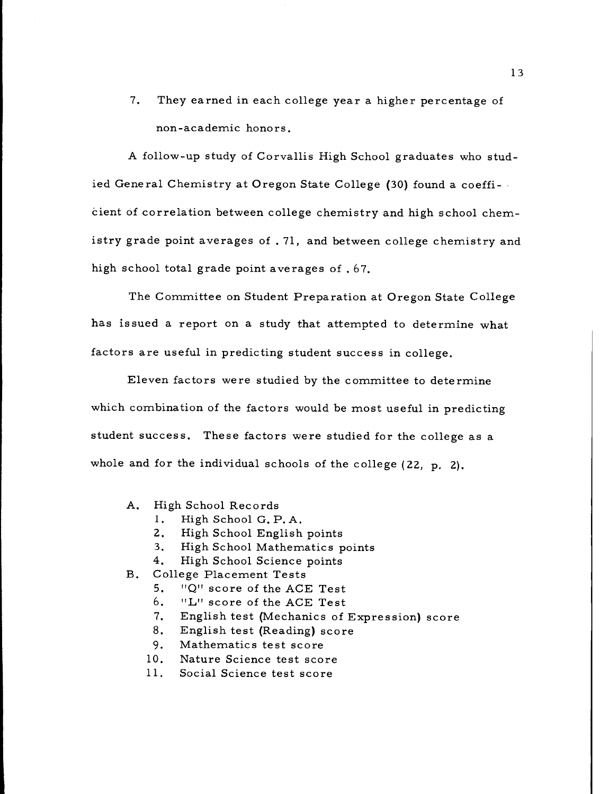7. They earned in each college year a higher percentage of non-academic honors.

A follow-up study of Corvallis High School graduates who studied General Chemistry at Oregon State College (30) found a coefficient of correlation between college chemistry and high school chemistry grade point averages of . 71, and between college chemistry and high school total grade point averages of .67.

The Committee on Student Preparation at Oregon State College has issued a report on a study that attempted to determine what factors are useful in predicting student success in college.

Eleven factors were studied by the committee to determine which combination of the factors would be most useful in predicting student success. These factors were studied for the college as a whole and for the individual schools of the college (22, p, 2).

- A. High School Records
	- 1. High School G. P. A.
	- $2.$ High School English points
	- $3.$ High School Mathematics points
	- $4.$ High School Science points
- B. College Placement Tests
	- $5.$ "Q" score of the ACE Test
	- 6. "L" score of the ACE Test
	- 7. English test (Mechanics of Expression) score
	- 8. English test (Reading) score
	- 9. Mathematics test score
	- $10.$ Nature Science test score
	- $11.$ Social Science test score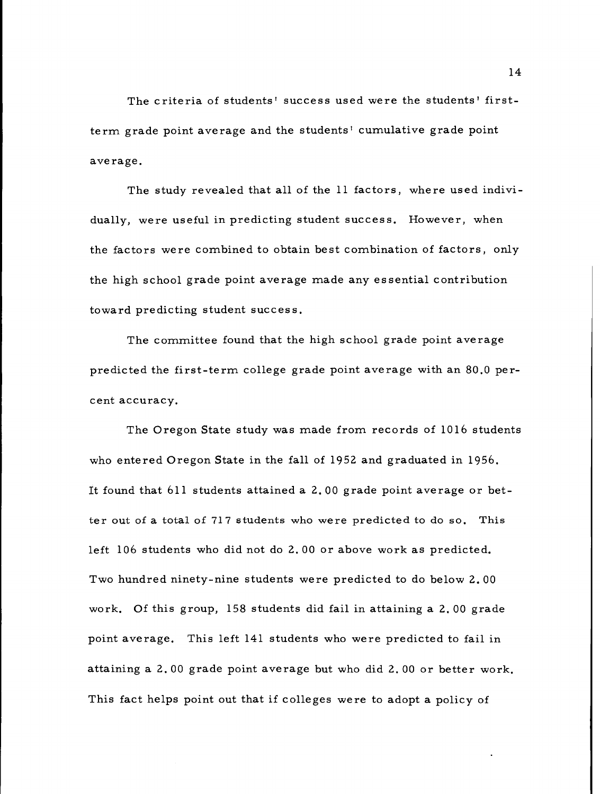The criteria of students' success used were the students' firstterm grade point average and the students' cumulative grade point average.

The study revealed that all of the 11 factors, where used individually, were useful in predicting student success. However, when the factors were combined to obtain best combination of factors, only the high school grade point average made any essential contribution toward predicting student success.

The committee found that the high school grade point average predicted the first-term college grade point average with an 80.0 percent accuracy.

The Oregon State study was made from records of 1016 students who entered Oregon State in the fall of 1952 and graduated in 1956. It found that 611 students attained a 2.00 grade point average or better out of a total of 717 students who were predicted to do so. This left 106 students who did not do 2.00 or above work as predicted. Two hundred ninety-nine students were predicted to do below 2.00 work. Of this group, 158 students did fail in attaining a 2.00 grade point average. This left 141 students who were predicted to fail in attaining a 2.00 grade point average but who did 2.00 or better work. This fact helps point out that if colleges were to adopt a policy of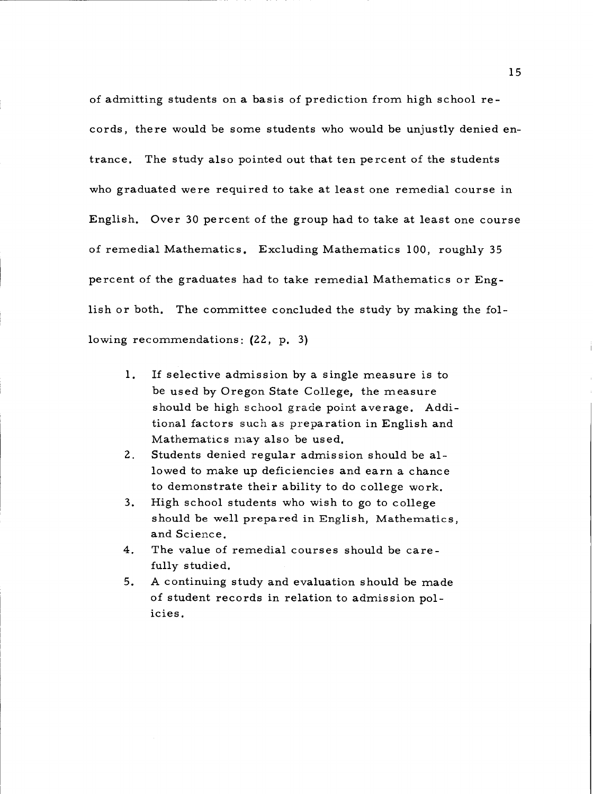of admitting students on a basis of prediction from high school records, there would be some students who would be unjustly denied entrance. The study also pointed out that ten percent of the students who graduated were required to take at least one remedial course in English. Over 30 percent of the group had to take at least one course of remedial Mathematics. Excluding Mathematics 100, roughly 35 percent of the graduates had to take remedial Mathematics or English or both. The committee concluded the study by making the following recommendations:  $(22, p, 3)$ .

- $1.$ If selective admission by a single measure is to be used by Oregon State College, the measure should be high school grade point average. Additional factors such as preparation in English and Mathematics may also be used.
- $2.$ Students denied regular admission should be allowed to make up deficiencies and earn a chance to demonstrate their ability to do college work.
- $3.$ High school students who wish to go to college should be well prepared in English, Mathematics, and Science.
- 4. The value of remedial courses should be carefully studied.
- $5.$ A continuing study and evaluation should be made of student records in relation to admission policies.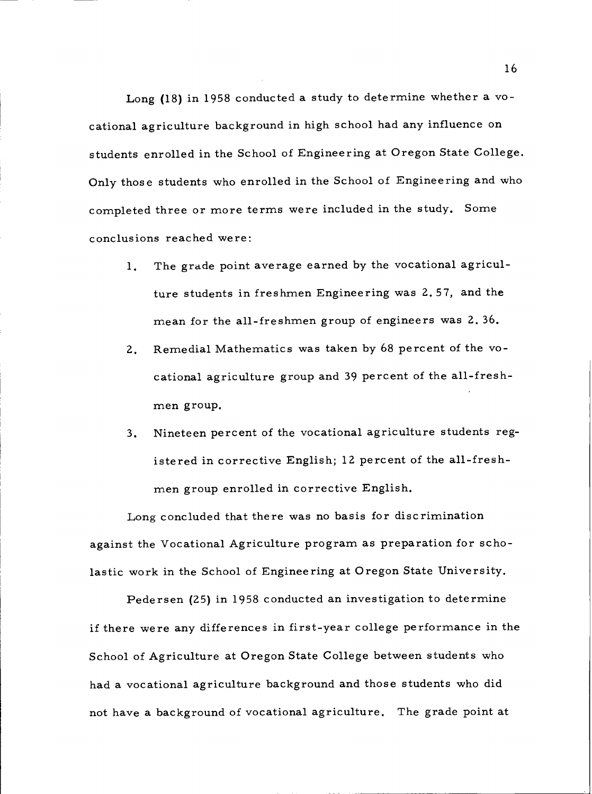Long (18) in 1958 conducted a study to determine whether a vocational agriculture background in high school had any influence on students enrolled in the School of Engineering at Oregon State College. Only those students who enrolled in the School of Engineering and who completed three or more terms were included in the study. Some conclusions reached were:

- The grade point average earned by the vocational agricul- $1.$ ture students in freshmen Engineering was 2.57, and the mean for the all-freshmen group of engineers was 2.36.
- Remedial Mathematics was taken by 68 percent of the vo- $2.$ cational agriculture group and 39 percent of the all-freshmen group.
- Nineteen percent of the vocational agriculture students reg- $3.$ istered in corrective English; 12 percent of the all-freshmen group enrolled in corrective English.

Long concluded that there was no basis for discrimination against the Vocational Agriculture program as preparation for scholastic work in the School of Engineering at Oregon State University.

Pedersen (25) in 1958 conducted an investigation to determine if there were any differences in first-year college performance in the School of Agriculture at Oregon State College between students who had a vocational agriculture background and those students who did not have a background of vocational agriculture. The grade point at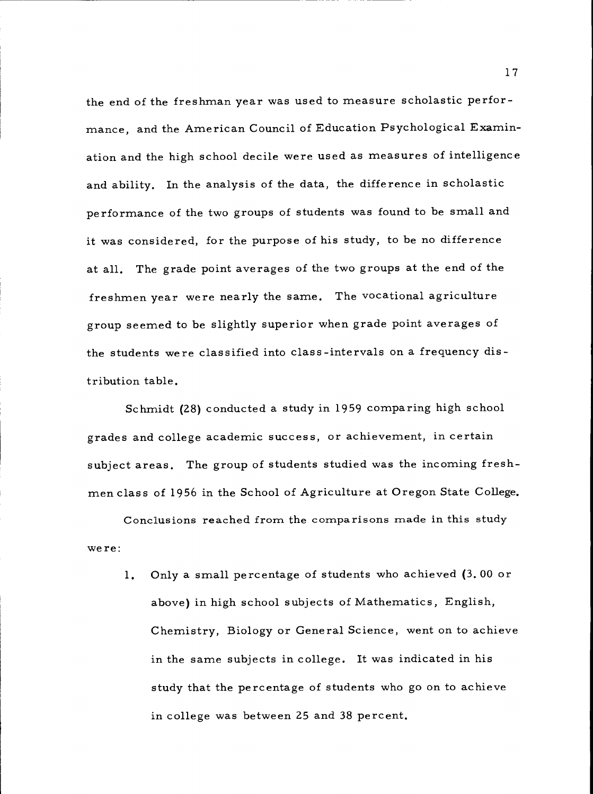the end of the freshman year was used to measure scholastic performance, and the American Council of Education Psychological Examination and the high school decile were used as measures of intelligence and ability. In the analysis of the data, the difference in scholastic performance of the two groups of students was found to be small and it was considered, for the purpose of his study, to be no difference at all. The grade point averages of the two groups at the end of the freshmen year were nearly the same. The vocational agriculture group seemed to be slightly superior when grade point averages of the students were classified into class-intervals on a frequency distribution table.

Schmidt (28) conducted a study in 1959 comparing high school grades and college academic success, or achievement, in certain subject areas. The group of students studied was the incoming freshmen class of 1956 in the School of Agriculture at Oregon State College.

Conclusions reached from the comparisons made in this study were:

1. Only a small percentage of students who achieved (3.00 or above) in high school subjects of Mathematics, English, Chemistry, Biology or General Science, went on to achieve in the same subjects in college. It was indicated in his study that the percentage of students who go on to achieve in college was between 25 and 38 percent.

17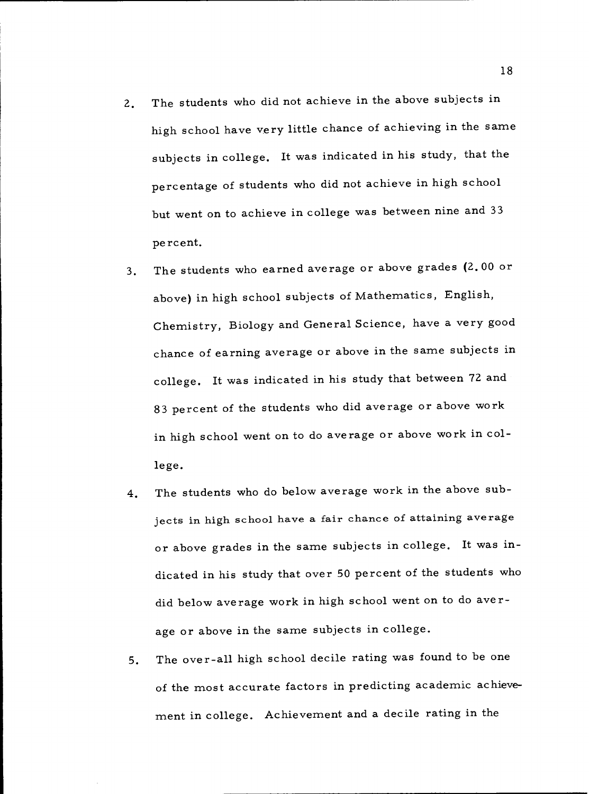- The students who did not achieve in the above subjects in  $2.$ high school have very little chance of achieving in the same subjects in college. It was indicated in his study, that the percentage of students who did not achieve in high school but went on to achieve in college was between nine and 33 percent.
- The students who earned average or above grades (2.00 or  $3.$ above) in high school subjects of Mathematics, English, Chemistry, Biology and General Science, have a very good chance of earning average or above in the same subjects in college. It was indicated in his study that between 72 and 83 percent of the students who did average or above work in high school went on to do average or above work in college.
- The students who do below average work in the above sub- $4.$ jects in high school have a fair chance of attaining average or above grades in the same subjects in college. It was indicated in his study that over 50 percent of the students who did below average work in high school went on to do average or above in the same subjects in college.
- The over-all high school decile rating was found to be one  $5.$ of the most accurate factors in predicting academic achievement in college. Achievement and a decile rating in the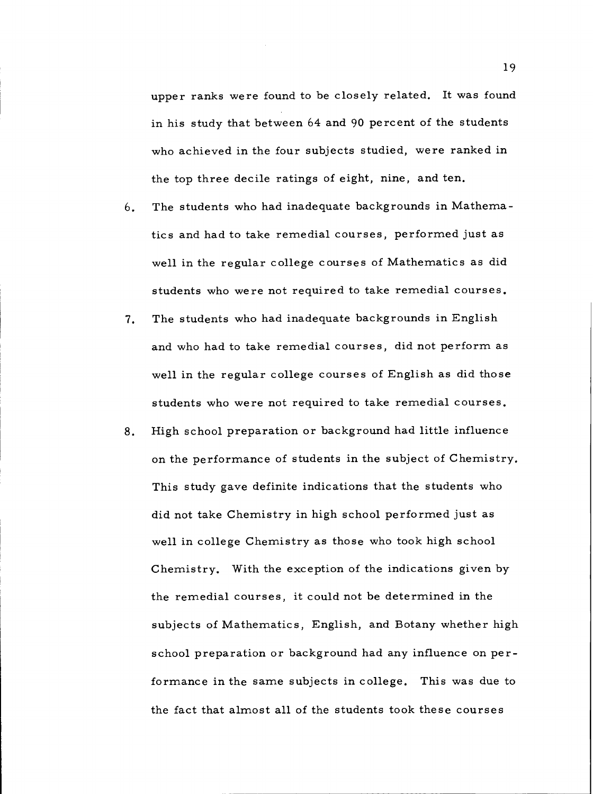upper ranks were found to be closely related. It was found in his study that between 64 and 90 percent of the students who achieved in the four subjects studied, were ranked in the top three decile ratings of eight, nine, and ten.

- 6. The students who had inadequate backgrounds in Mathematics and had to take remedial courses, performed just as well in the regular college courses of Mathematics as did students who were not required to take remedial courses.
- The students who had inadequate backgrounds in English 7. and who had to take remedial courses, did not perform as well in the regular college courses of English as did those students who were not required to take remedial courses.
- High school preparation or background had little influence 8. on the performance of students in the subject of Chemistry. This study gave definite indications that the students who did not take Chemistry in high school performed just as well in college Chemistry as those who took high school Chemistry. With the exception of the indications given by the remedial courses, it could not be determined in the subjects of Mathematics, English, and Botany whether high school preparation or background had any influence on performance in the same subjects in college. This was due to the fact that almost all of the students took these courses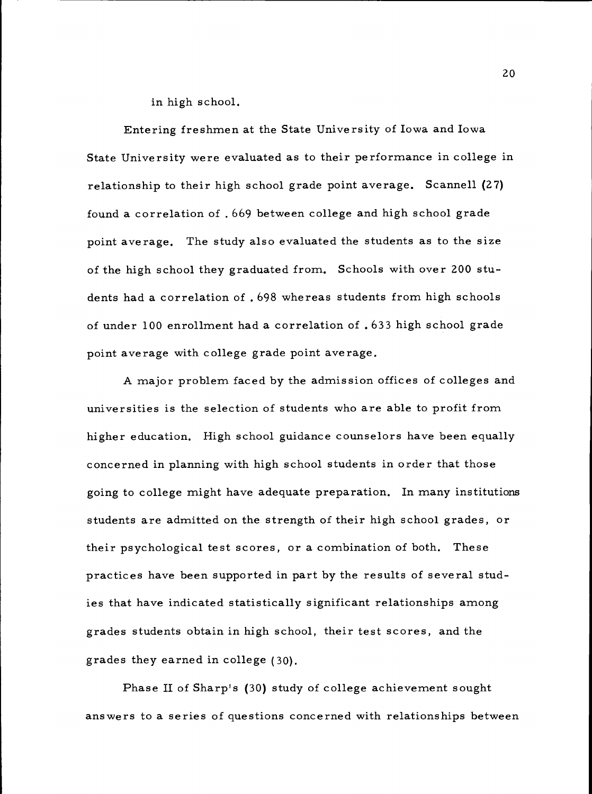in high school.

Entering freshmen at the State University of Iowa and Iowa State University were evaluated as to their performance in college in relationship to their high school grade point average. Scannell (27) found a correlation of .669 between college and high school grade point average. The study also evaluated the students as to the size of the high school they graduated from. Schools with over 200 students had a correlation of .698 whereas students from high schools of under 100 enrollment had a correlation of .633 high school grade point average with college grade point average.

A major problem faced by the admission offices of colleges and universities is the selection of students who are able to profit from higher education. High school guidance counselors have been equally concerned in planning with high school students in order that those going to college might have adequate preparation. In many institutions students are admitted on the strength of their high school grades, or their psychological test scores, or a combination of both. These practices have been supported in part by the results of several studies that have indicated statistically significant relationships among grades students obtain in high school, their test scores, and the grades they earned in college (30).

Phase II of Sharp's (30) study of college achievement sought answers to a series of questions concerned with relationships between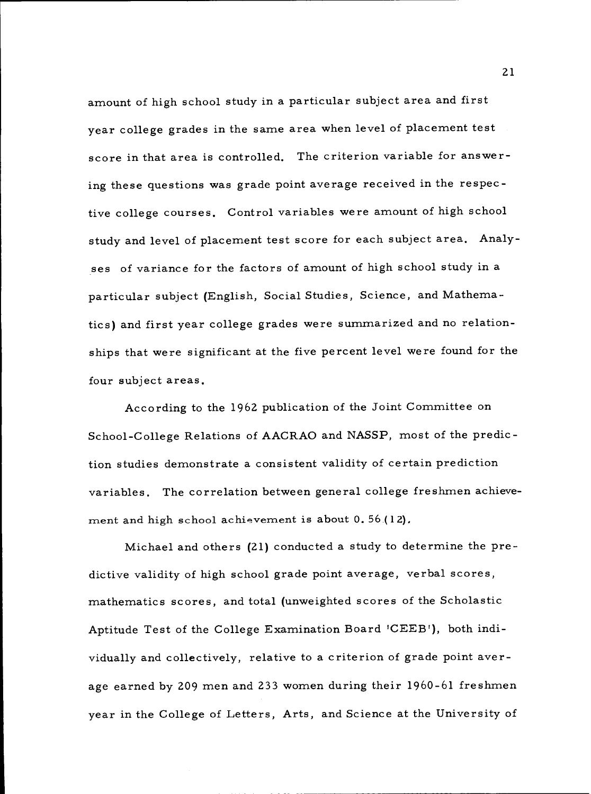amount of high school study in a particular subject area and first year college grades in the same area when level of placement test score in that area is controlled. The criterion variable for answering these questions was grade point average received in the respective college courses. Control variables were amount of high school study and level of placement test score for each subject area. Analyses of variance for the factors of amount of high school study in a particular subject (English, Social Studies, Science, and Mathematics) and first year college grades were summarized and no relationships that were significant at the five percent level were found for the four subject areas.

According to the <sup>1962</sup> publication of the Joint Committee on School-College Relations of AACRAO and NASSP, most of the prediction studies demonstrate a consistent validity of certain prediction variables. The correlation between general college freshmen achievement and high school achievement is about 0.56 (12),

Michael and others (21) conducted a study to determine the predictive validity of high school grade point average, verbal scores, mathematics scores, and total (unweighted scores of the Scholastic Aptitude Test of the College Examination Board 'CEEB'), both individually and collectively, relative to a criterion of grade point average earned by <sup>209</sup> men and <sup>233</sup> women during their 1960-61 freshmen year in the College of Letters, Arts, and Science at the University of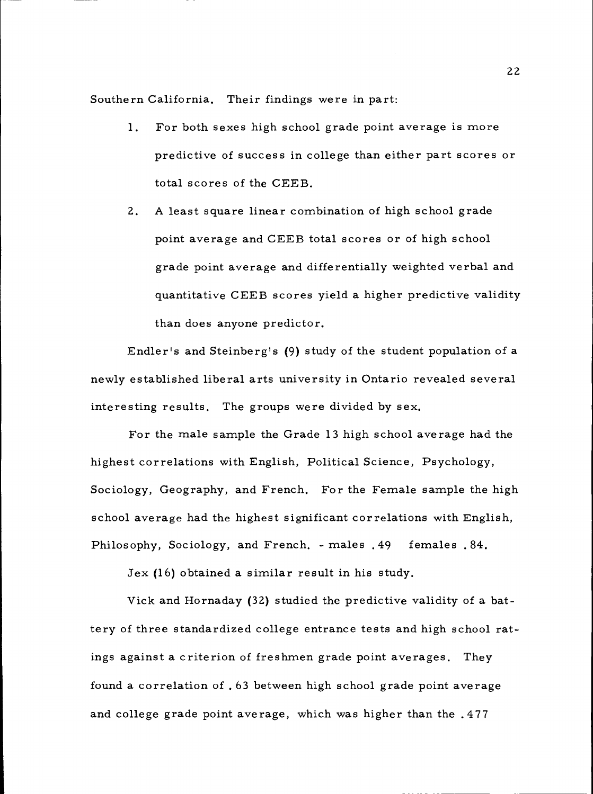Southern California. Their findings were in part:

- $1.$ For both sexes high school grade point average is more predictive of success in college than either part scores or total scores of the CEEB.
- A least square linear combination of high school grade  $2.$ point average and CEEB total scores or of high school grade point average and differentially weighted verbal and quantitative CEEB scores yield a higher predictive validity than does anyone predictor.

Endler's and Steinberg's (9) study of the student population of a newly established liberal arts university in Ontario revealed several interesting results. The groups were divided by sex.

For the male sample the Grade 13 high school average had the highest correlations with English, Political Science, Psychology, Sociology, Geography, and French. For the Female sample the high school average had the highest significant correlations with English, Philosophy, Sociology, and French. - males .49 females .84.

Jex (16) obtained a similar result in his study.

Vick and Hornaday (32) studied the predictive validity of a battery of three standardized college entrance tests and high school ratings against a criterion of freshmen grade point averages. They found a correlation of .63 between high school grade point average and college grade point average, which was higher than the .477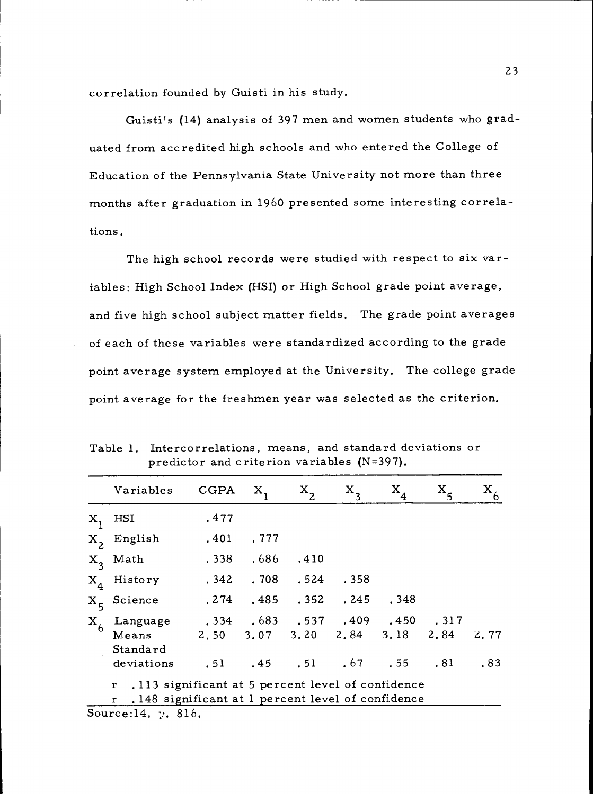correlation founded by Guisti in his study.

Guisti's (14) analysis of 397 men and women students who graduated from accredited high schools and who entered the College of Education of the Pennsylvania State University not more than three months after graduation in 1960 presented some interesting correlations.

The high school records were studied with respect to six variables: High School Index (HSI) or High School grade point average, and five high school subject matter fields. The grade point averages of each of these variables were standardized according to the grade point average system employed at the University. The college grade point average for the freshmen year was selected as the criterion.

|                        | Variables                                         | CGPA                          | Х,          | $X_{2}$                     | $X_{3}$ | $X_4$                               | $X_{5}$ |      |
|------------------------|---------------------------------------------------|-------------------------------|-------------|-----------------------------|---------|-------------------------------------|---------|------|
| HSI<br>$X_{1}$         |                                                   | .477                          |             |                             |         |                                     |         |      |
| $X_2$ English          |                                                   | .401                          | .777        |                             |         |                                     |         |      |
|                        | $X_3$ Math                                        |                               | $.338-.686$ | .410                        |         |                                     |         |      |
| $X_4$ History          |                                                   |                               |             | $.342$ $.708$ $.524$ $.358$ |         |                                     |         |      |
| X <sub>5</sub> Science |                                                   | 274 .485 .352 .245 .348       |             |                             |         |                                     |         |      |
| $X_{6}$                | Language . 334 . 683 . 537 . 409 . 450 . 317      |                               |             |                             |         |                                     |         |      |
|                        | Means                                             | 2,50 3,07 3,20 2,84 3,18 2,84 |             |                             |         |                                     |         | 2,77 |
|                        | Standard                                          |                               |             |                             |         |                                     |         |      |
|                        | deviations                                        |                               |             |                             |         | $.51$ $.45$ $.51$ $.67$ $.55$ $.81$ |         | .83  |
| $\mathbf{r}$           | .113 significant at 5 percent level of confidence |                               |             |                             |         |                                     |         |      |
| r                      | .148 significant at 1 percent level of confidence |                               |             |                             |         |                                     |         |      |

Table 1. Intercorrelations, means, and standard deviations or predictor and criterion variables (N=397).

Source:14,  $\gamma$ . 816.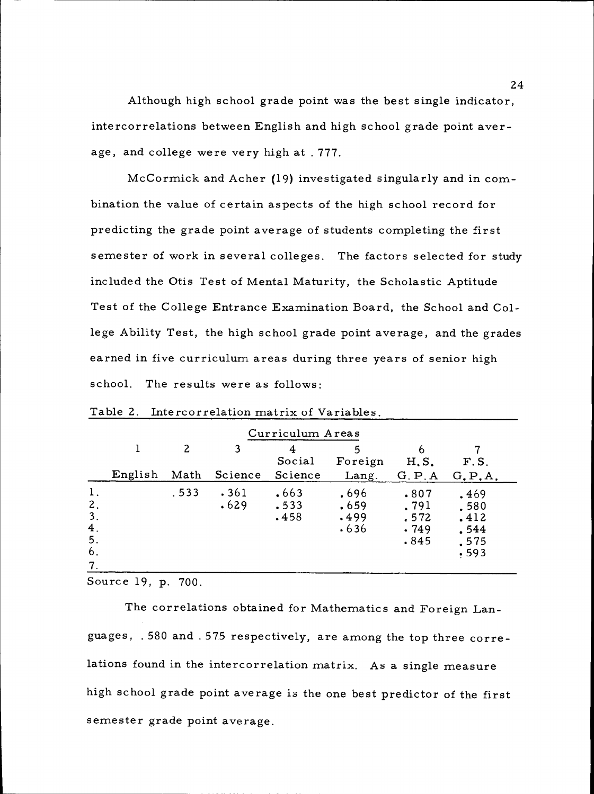Although high school grade point was the best single indicator, intercorrelations between English and high school grade point average, and college were very high at . 777.

McCormick and Acher (19) investigated singularly and in combination the value of certain aspects of the high school record for predicting the grade point average of students completing the first semester of work in several colleges. The factors selected for study included the Otis Test of Mental Maturity, the Scholastic Aptitude Test of the College Entrance Examination Board, the School and College Ability Test, the high school grade point average, and the grades earned in five curriculum areas during three years of senior high school. The results were as follows:

|                                        |         |       |              | Curriculum Areas     |                              |                                      |                                              |
|----------------------------------------|---------|-------|--------------|----------------------|------------------------------|--------------------------------------|----------------------------------------------|
|                                        |         | 2     | 3            | Social               | 5<br>Foreign                 | <sub>b</sub><br>$H, S$ .             | F.S.                                         |
|                                        | English | Math  | Science      | Science              | Lang.                        | G.P.A                                | G.P.A.                                       |
| 1.<br>2.<br>3.<br>4.<br>5.<br>6.<br>7. |         | . 533 | .361<br>.629 | .663<br>.533<br>.458 | .696<br>.659<br>.499<br>.636 | .807<br>.791<br>.572<br>.749<br>.845 | .469<br>.580<br>.412<br>.544<br>.575<br>.593 |

Table 2. Intercorrelation matrix of Variables.

Source 19, p. 700.

The correlations obtained for Mathematics and Foreign Languages, . 580 and .575 respectively, are among the top three correlations found in the intercorrelation matrix. As a single measure high school grade point average is the one best predictor of the first semester grade point average.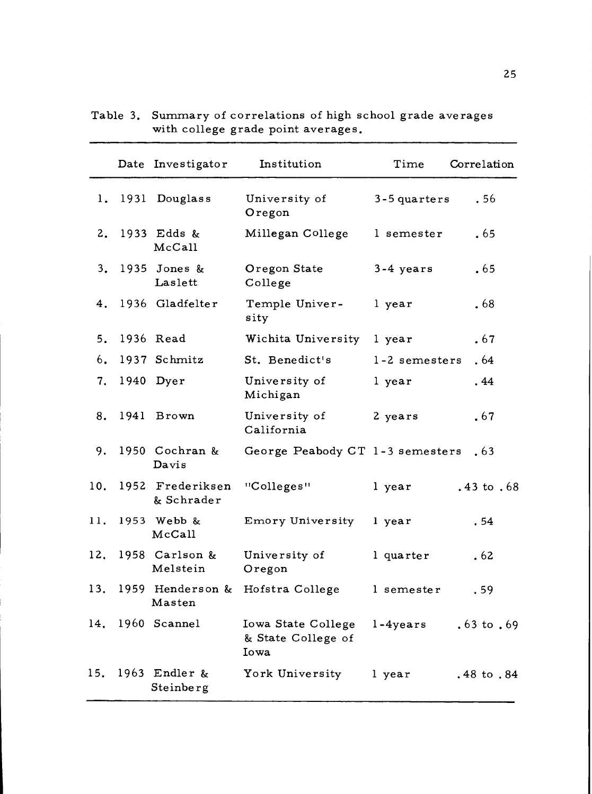|     | Date Investigator              | Institution                                      | Time           | Correlation           |
|-----|--------------------------------|--------------------------------------------------|----------------|-----------------------|
|     | 1. 1931 Douglass               | University of<br>Oregon                          | $3-5$ quarters | . 56                  |
|     | 2. 1933 Edds &<br>McCall       | Millegan College                                 | l semester     | .65                   |
|     | 3. 1935 Jones &<br>Laslett     | Oregon State<br>College                          | $3-4$ years    | .65                   |
|     | 4. 1936 Gladfelter             | Temple Univer-<br>sity                           | l year         | .68                   |
| 5.  | 1936 Read                      | Wichita University 1 year                        |                | .67                   |
| 6.  | 1937 Schmitz                   | St. Benedict's                                   | 1-2 semesters  | . 64                  |
| 7.  | 1940 Dyer                      | University of<br>Michigan                        | l year         | .44                   |
| 8.  | 1941 Brown                     | University of<br>California                      | 2 years        | .67                   |
| 9.  | 1950 Cochran &<br>Davis        | George Peabody CT 1-3 semesters                  |                | .63                   |
| 10. | 1952 Frederiksen<br>& Schrader | "Colleges"                                       | l year         | $.43 \text{ to } .68$ |
| 11. | 1953 Webb &<br>McCall          | Emory University                                 | 1 year         | .54                   |
|     | 12. 1958 Carlson &<br>Melstein | University of<br>Oregon                          | l quarter      | .62                   |
|     | Masten                         | 13. 1959 Henderson & Hofstra College             | l semester     | .59                   |
| 14. | 1960 Scannel                   | Iowa State College<br>& State College of<br>Iowa | $1 - 4$ years  | $.63 \text{ to } .69$ |
| 15. | 1963 Endler $\&$<br>Steinberg  | York University                                  | l year         | .48 to .84            |

Table 3. Summary of correlations of high school grade averages with college grade point averages.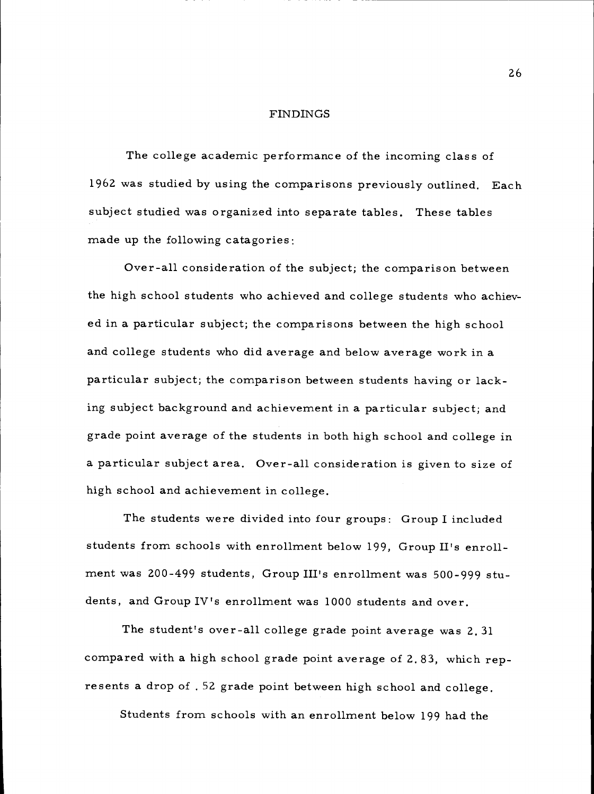#### FINDINGS

The college academic performance of the incoming class of 1962 was studied by using the comparisons previously outlined. Each subject studied was organized into separate tables. These tables made up the following catagories:

Over-all consideration of the subject; the comparison between the high school students who achieved and college students who achieved in a particular subject; the comparisons between the high school and college students who did average and below average work in a particular subject; the comparison between students having or lacking subject background and achievement in a particular subject; and grade point average of the students in both high school and college in a particular subject area. Over-all consideration is given to size of high school and achievement in college.

The students were divided into four groups: Group I included students from schools with enrollment below 199, Group II's enrollment was 200-499 students, Group III's enrollment was 500-999 students, and Group IV's enrollment was 1000 students and over.

The student's over-all college grade point average was 2.31 compared with a high school grade point average of 2.83, which represents a drop of . 52 grade point between high school and college.

Students from schools with an enrollment below 199 had the

26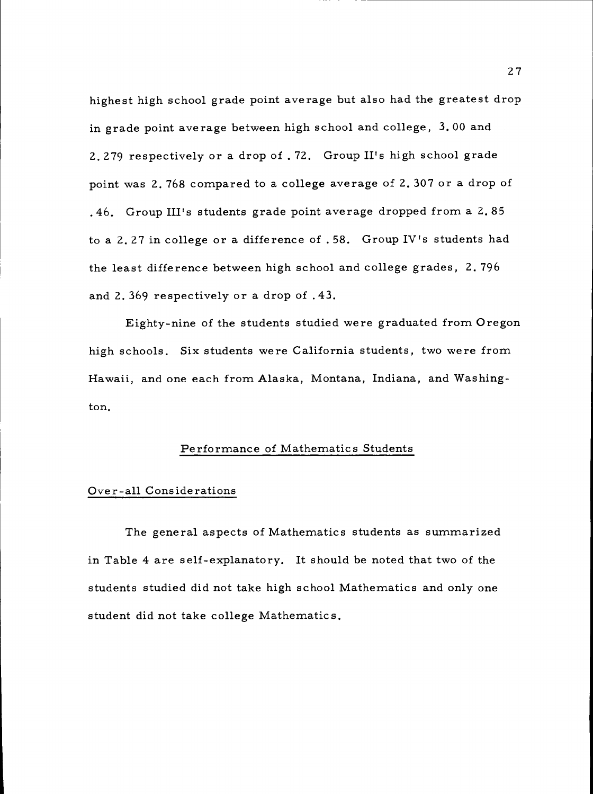highest high school grade point average but also had the greatest drop in grade point average between high school and college, 3.00 and 2.279 respectively or a drop of .72. Group II's high school grade point was 2.768 compared to a college average of 2.307 or a drop of .46. Group III's students grade point average dropped from a 2.85 to a 2.27 in college or a difference of . 58. Group IV's students had the least difference between high school and college grades, 2.796 and 2.369 respectively or a drop of .43.

Eighty-nine of the students studied were graduated from Oregon high schools. Six students were California students, two were from Hawaii, and one each from Alaska, Montana, Indiana, and Washington.

### Performance of Mathematics Students

### Over-all Considerations

The general aspects of Mathematics students as summarized in Table 4 are self-explanatory. It should be noted that two of the students studied did not take high school Mathematics and only one student did not take college Mathematics.

27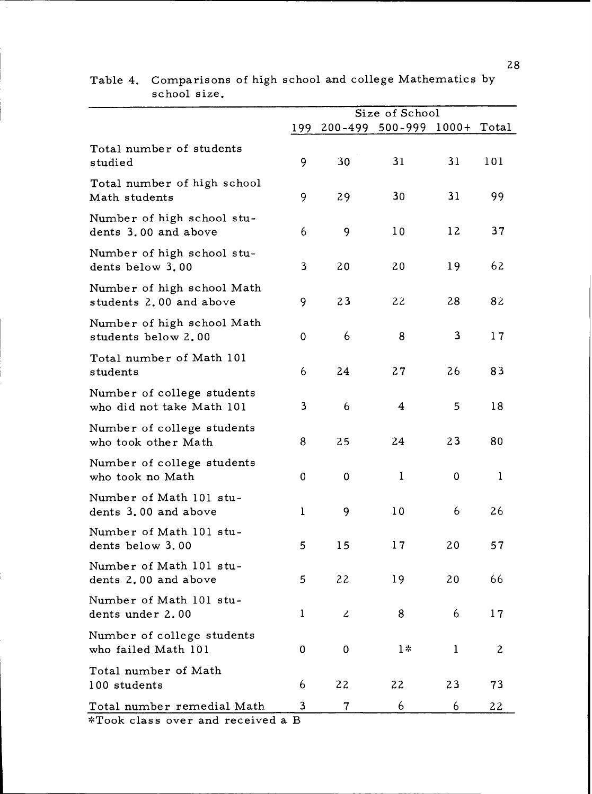|                                                         |              |           | Size of School              |              |             |
|---------------------------------------------------------|--------------|-----------|-----------------------------|--------------|-------------|
|                                                         | 199          |           | 200-499 500-999 1000+ Total |              |             |
| Total number of students<br>studied                     | 9            | 30        | 31                          | 31           | 101         |
| Total number of high school<br>Math students            | 9            | 29        | 30                          | 31           | 99          |
| Number of high school stu-<br>dents 3.00 and above      | 6            | 9         | 10                          | 12           | 37          |
| Number of high school stu-<br>dents below 3.00          | 3            | 20        | 20                          | 19           | 62          |
| Number of high school Math<br>students 2.00 and above   | 9            | 23        | 22                          | 28           | 82          |
| Number of high school Math<br>students below 2.00       | 0            | 6         | 8                           | 3            | 17          |
| Total number of Math 101<br>students                    | 6            | 24        | 27                          | 26           | 83          |
| Number of college students<br>who did not take Math 101 | 3            | 6         | 4                           | 5            | 18          |
| Number of college students<br>who took other Math       | 8            | 25        | 24                          | 23           | 80          |
| Number of college students<br>who took no Math          | 0            | $\pmb{0}$ | $\mathbf{1}$                | 0            | $\mathbf 1$ |
| Number of Math 101 stu-<br>dents 3.00 and above         | $\mathbf{1}$ | 9         | 10                          | 6            | 26          |
| Number of Math 101 stu-<br>dents below 3.00             | 5            | 15        | 17                          | 20           | 57          |
| Number of Math 101 stu-<br>dents 2.00 and above         | 5            | 22        | 19                          | 20           | 66          |
| Number of Math 101 stu-<br>dents under 2.00             | 1            | 2         | 8                           | 6            | 17          |
| Number of college students<br>who failed Math 101       | 0            | 0         | $1*$                        | $\mathbf{1}$ | 2           |
| Total number of Math<br>100 students                    | 6            | 22        | 22                          | 23           | 73          |
| Total number remedial Math                              | 3            | 7         | 6                           | 6            | 22          |

Table 4. Comparisons of high school and college Mathematics by school size.

\*Took class over and received a B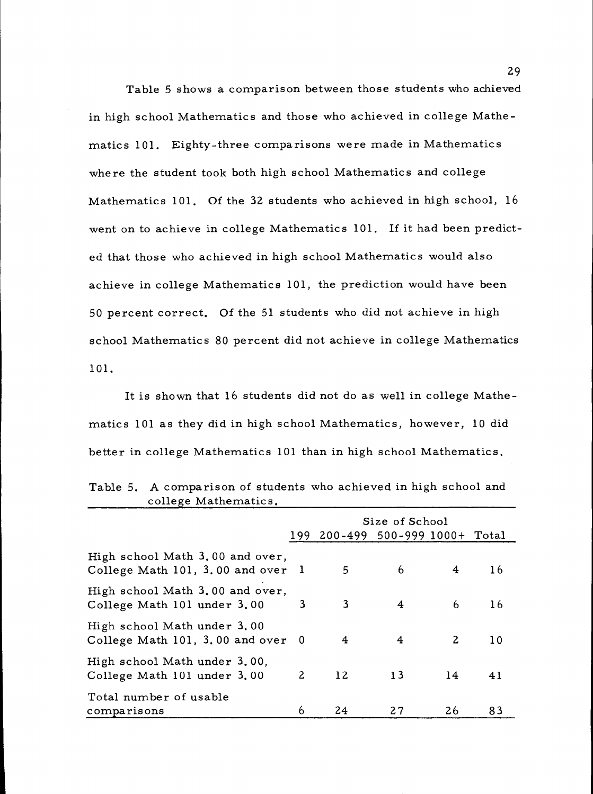Table 5 shows a comparison between those students who achieved in high school Mathematics and those who achieved in college Mathematics 101. Eighty-three comparisons were made in Mathematics where the student took both high school Mathematics and college Mathematics 101. Of the 32 students who achieved in high school, 16 went on to achieve in college Mathematics 101. If it had been predicted that those who achieved in high school Mathematics would also achieve in college Mathematics 101, the prediction would have been 50 percent correct. Of the 51 students who did not achieve in high school Mathematics 80 percent did not achieve in college Mathematics 101.

It is shown that 16 students did not do as well in college Mathematics 101 as they did in high school Mathematics, however, 10 did better in college Mathematics 101 than in high school Mathematics.

|                                                                      | Size of School |                                 |    |    |                 |
|----------------------------------------------------------------------|----------------|---------------------------------|----|----|-----------------|
|                                                                      |                | 199 200-499 500-999 1000+ Total |    |    |                 |
| High school Math 3.00 and over,<br>College Math 101, 3.00 and over 1 |                | 5                               | 6  | 4  | 16              |
| High school Math 3.00 and over,<br>College Math 101 under 3.00       | 3              | 3                               | 4  | 6  | 16              |
| High school Math under 3.00<br>College Math 101, 3.00 and over 0     |                | 4                               | 4  | 2  | 10 <sup>°</sup> |
| High school Math under 3.00,<br>College Math 101 under 3.00          | $\mathbf{2}$   | 12 <sup>2</sup>                 | 13 | 14 | 41              |
| Total number of usable<br>comparisons                                | 6              | 24                              | 27 | 26 | 83              |

Table 5. A comparison of students who achieved in high school and college Mathematics.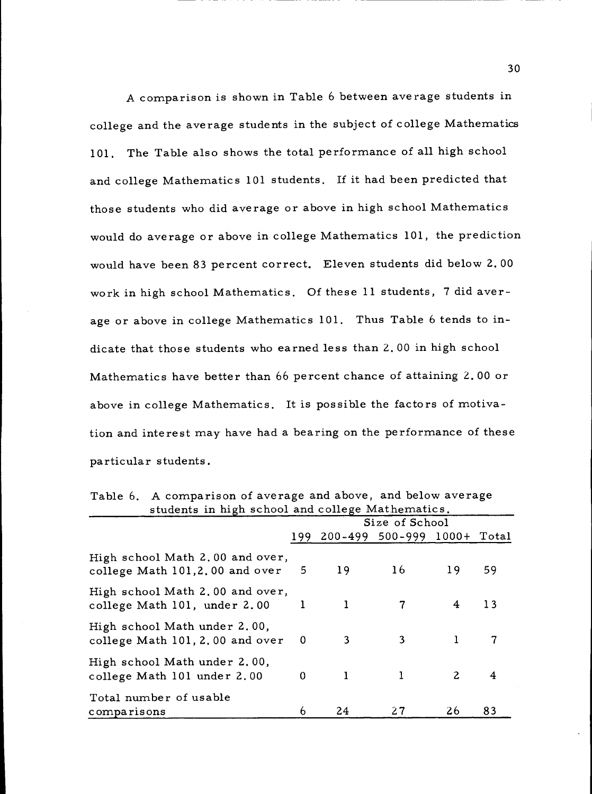A comparison is shown in Table 6 between average students in college and the average students in the subject of college Mathematics 101. The Table also shows the total performance of all high school and college Mathematics 101 students. If it had been predicted that those students who did average or above in high school Mathematics would do average or above in college Mathematics 101, the prediction would have been 83 percent correct. Eleven students did below 2.00 work in high school Mathematics. Of these 11 students, 7 did average or above in college Mathematics 101. Thus Table 6 tends to indicate that those students who earned less than 2.00 in high school Mathematics have better than 66 percent chance of attaining 2.00 or above in college Mathematics. It is possible the factors of motivation and interest may have had a bearing on the performance of these particular students.

|                                                                           | students in high school and college Mathematics. |    |                             |              |    |  |
|---------------------------------------------------------------------------|--------------------------------------------------|----|-----------------------------|--------------|----|--|
|                                                                           | Size of School                                   |    |                             |              |    |  |
|                                                                           | 199.                                             |    | 200-499 500-999 1000+ Total |              |    |  |
| High school Math 2.00 and over,<br>college Math $101, 2, 00$ and over $5$ |                                                  | 19 | 16                          | 19           | 59 |  |
| High school Math 2.00 and over,<br>college Math 101, under 2.00           | $\mathbf{1}$                                     | 1  |                             | 4            | 13 |  |
| High school Math under 2.00,<br>college Math 101, 2,00 and over           | 0                                                | 3  | 3                           | 1            | 7  |  |
| High school Math under 2.00,<br>college Math 101 under 2.00               | 0                                                | 1  |                             | $\mathbf{2}$ | 4  |  |
| Total number of usable<br>comparisons                                     | 6                                                | 24 | 27                          | 26           | 83 |  |

Table 6. A comparison of average and above, and below average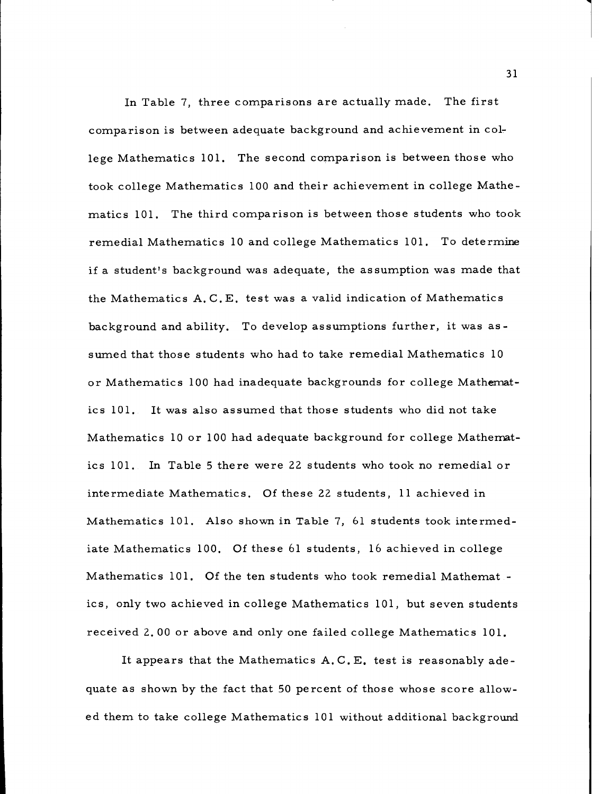In Table 7, three comparisons are actually made. The first comparison is between adequate background and achievement in college Mathematics 101. The second comparison is between those who took college Mathematics 100 and their achievement in college Mathematics 101. The third comparison is between those students who took remedial Mathematics 10 and college Mathematics 101. To determine if a student's background was adequate, the assumption was made that the Mathematics A. C. E. test was a valid indication of Mathematics background and ability. To develop assumptions further, it was assumed that those students who had to take remedial Mathematics 10 or Mathematics 100 had inadequate backgrounds for college Mathematics 101. It was also assumed that those students who did not take Mathematics 10 or 100 had adequate background for college Mathematics 101. In Table 5 there were 22 students who took no remedial or intermediate Mathematics. Of these 22 students, 11 achieved in Mathematics 101. Also shown in Table 7, 61 students took intermediate Mathematics 100. Of these 61 students, 16 achieved in college Mathematics 101. Of the ten students who took remedial Mathemat ics, only two achieved in college Mathematics 101, but seven students received 2.00 or above and only one failed college Mathematics 101.

It appears that the Mathematics A.C.E. test is reasonably adequate as shown by the fact that 50 percent of those whose score allowed them to take college Mathematics 101 without additional background

31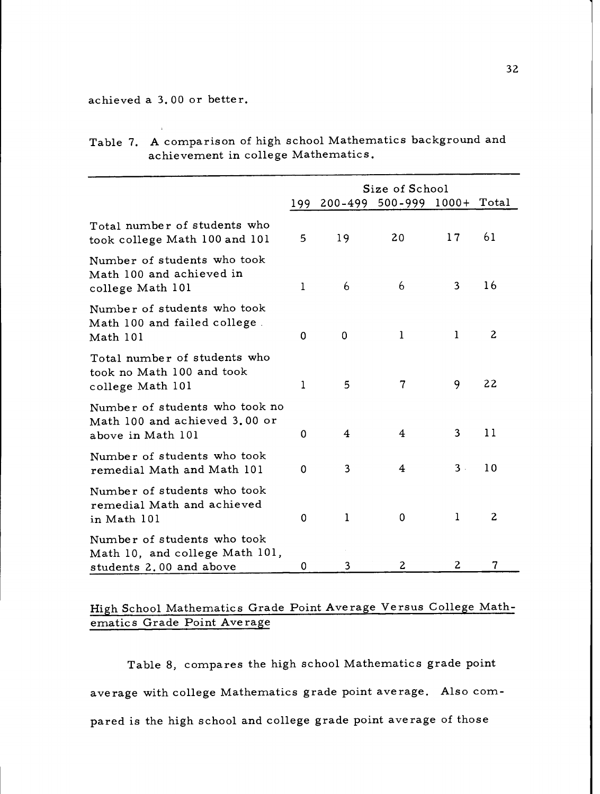achieved a 3.00 or better.

|                                                                                          | 199          | $200 - 499$ | Size of School<br>$500 - 999$ 1000+ |              | Total           |  |  |
|------------------------------------------------------------------------------------------|--------------|-------------|-------------------------------------|--------------|-----------------|--|--|
| Total number of students who<br>took college Math 100 and 101                            | 5            | 19          | 20                                  | 17           | 61              |  |  |
| Number of students who took<br>Math 100 and achieved in<br>college Math 101              | $\mathbf{1}$ | 6           | 6                                   | 3            | 16              |  |  |
| Number of students who took<br>Math 100 and failed college.<br>Math 101                  | 0            | $\mathbf 0$ | $\mathbf{1}$                        | $\mathbf{1}$ | 2               |  |  |
| Total number of students who<br>took no Math 100 and took<br>college Math 101            | $\mathbf 1$  | 5           | $\overline{\mathcal{U}}$            | 9            | 22              |  |  |
| Number of students who took no<br>Math 100 and achieved 3.00 or<br>above in Math 101     | 0            | 4           | 4                                   | 3            | 11              |  |  |
| Number of students who took<br>remedial Math and Math 101                                | 0            | 3           | 4                                   | $3 -$        | 10 <sup>°</sup> |  |  |
| Number of students who took<br>remedial Math and achieved<br>in Math 101                 | $\mathbf 0$  | 1           | $\mathbf 0$                         | 1            | 2               |  |  |
| Number of students who took<br>Math 10, and college Math 101,<br>students 2.00 and above | 0            | 3           | 2                                   | 2            | 7               |  |  |

| Table 7. A comparison of high school Mathematics background and |
|-----------------------------------------------------------------|
| achievement in college Mathematics.                             |

# High School Mathematics Grade Point Average Versus College Mathematics Grade Point Average

Table 8, compares the high school Mathematics grade point average with college Mathematics grade point average. Also compared is the high school and college grade point average of those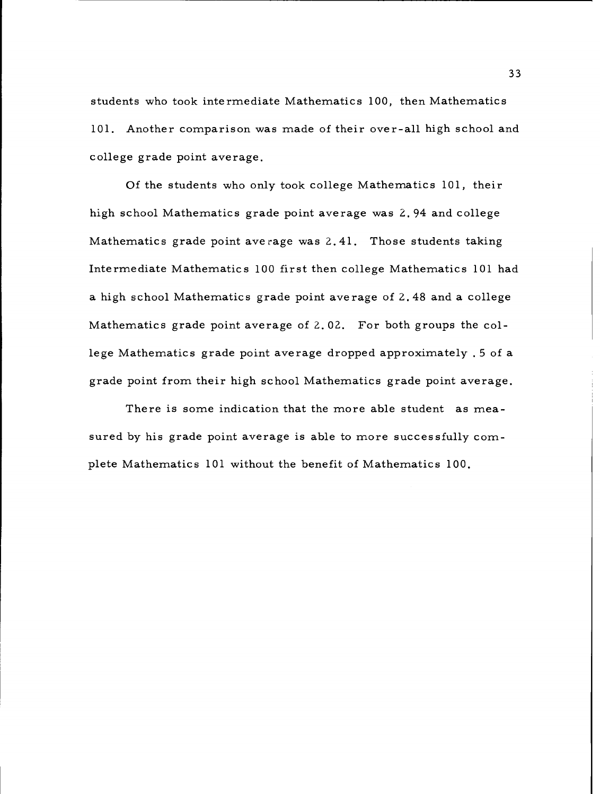students who took intermediate Mathematics 100, then Mathematics 101. Another comparison was made of their over-all high school and college grade point average.

Of the students who only took college Mathematics 101, their high school Mathematics grade point average was 2.94 and college Mathematics grade point average was 2.41. Those students taking Intermediate Mathematics 100 first then college Mathematics 101 had a high school Mathematics grade point average of 2.48 and a college Mathematics grade point average of 2.02. For both groups the college Mathematics grade point average dropped approximately .5 of a grade point from their high school Mathematics grade point average.

There is some indication that the more able student as measured by his grade point average is able to more successfully complete Mathematics 101 without the benefit of Mathematics 100.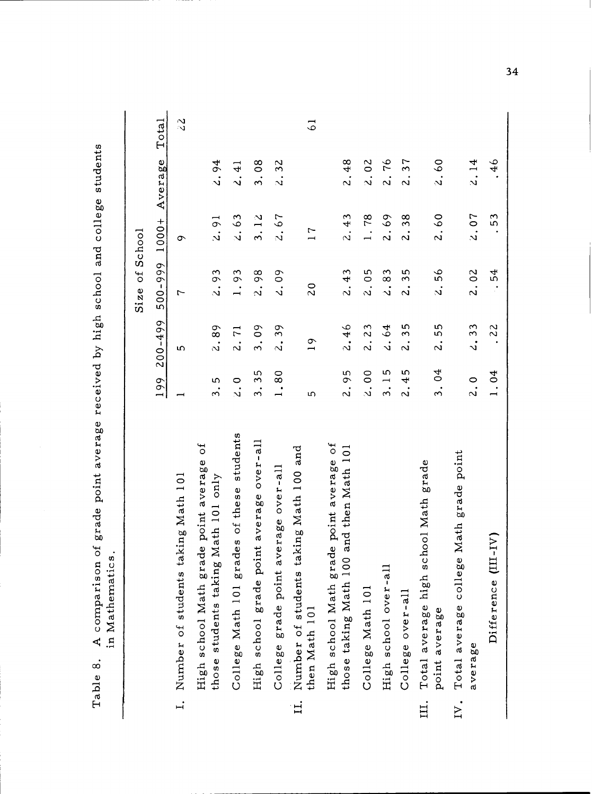|              |                                                                                                        |                                                       |                                   | $\overline{5}$<br>Size | School                  |                                      |                |
|--------------|--------------------------------------------------------------------------------------------------------|-------------------------------------------------------|-----------------------------------|------------------------|-------------------------|--------------------------------------|----------------|
|              |                                                                                                        | 199                                                   | $200 - 499$                       | 500-999                | $1000 +$                | Average                              | Total          |
| $\ddot{ }$   | taking Math 101<br>Number of students                                                                  | $\overline{\phantom{0}}$                              | ഗ                                 | 1                      | ᡡ                       |                                      | $\mathcal{Z}$  |
|              | Jo<br>point average<br>those students taking Math 101 only<br>ade<br>High school Math gr               | ۱Ω<br>$\ddot{\mathrm{s}}$                             | 89<br>$\ddot{\mathbf{v}}$         | 2.93                   | 2.91                    | 2.94                                 |                |
|              | students<br>ades of these<br>College Math 101 gr                                                       | $\circ$<br>$\vec{v}$                                  | $\overline{r}$<br>$\ddot{\Omega}$ | 1.93                   | 2.63                    | $\frac{1}{4}$<br>$\ddot{\sim}$       |                |
|              | High school grade point average over-all                                                               | 35<br>$\ddot{\mathrm{3}}$                             | $\infty$<br>$\dot{\mathcal{S}}$ . | 2.98                   | 3.12                    | $\frac{8}{2}$<br>$\ddot{\mathrm{3}}$ |                |
|              | average over-all<br>College grade point                                                                | 1.80                                                  | 39<br>$\ddot{\sim}$               | 4.09                   | 2.67                    | 32<br>$\ddot{\sim}$                  |                |
| $\mathbf{H}$ | and<br>taking Math 100<br>Number of students<br>then Math 101                                          | 5                                                     | $\overline{1}$                    | $\overline{c}$         | $\overline{r}$          |                                      | $\overline{5}$ |
|              | $\overline{t}$<br>00 and then Math 101<br>High school Math grade point average<br>those taking Math 10 | 95<br>$\ddot{\Omega}$                                 | 2.46                              | 2.43                   | 2.43                    | $\frac{48}{5}$<br>$\ddot{\sim}$      |                |
|              | College Math 101                                                                                       | 2.00                                                  | 23<br>$\ddot{\Omega}$             | 05<br>$\ddot{\sim}$    | 1.78                    | $\overline{0}$<br>$\vec{v}$          |                |
|              | High school over-al                                                                                    | 5<br>$\overline{\phantom{0}}$<br>$\ddot{\mathcal{S}}$ | 64<br>$\ddot{\mathbf{v}}$         | 83<br>$\ddot{\sim}$    | 69<br>$\ddot{\sim}$     | 76<br>$\ddot{\sim}$                  |                |
|              | College over-all                                                                                       | Ю<br>4<br>$\ddot{\Omega}$                             | 35<br>$\ddot{\rm}$                | 35<br>$\ddot{\sim}$    | 38<br>$\ddot{\Omega}$   | 37<br>$\ddot{\sim}$                  |                |
| Ц.           | grade<br>Total average high school Math<br>point average                                               | $\sigma$<br>$\dot{\tilde{3}}$                         | 55<br>$\dot{\mathbf{c}}$          | 99<br>$\vec{v}$        | $^{0}$<br>$\ddot{\sim}$ | $\overline{6}$<br>$\vec{v}$          |                |
| IV.          | grade point<br>Total average college Math<br>average                                                   | 2.0                                                   | 33<br>$\mathbf{v}$                | 2.02                   | 2.07                    | 2.14                                 |                |
|              | $(III-IV)$<br>Difference                                                                               | 1.04                                                  | 22                                | 54                     | 53                      | 46                                   |                |
|              |                                                                                                        |                                                       |                                   |                        |                         |                                      |                |

 $34$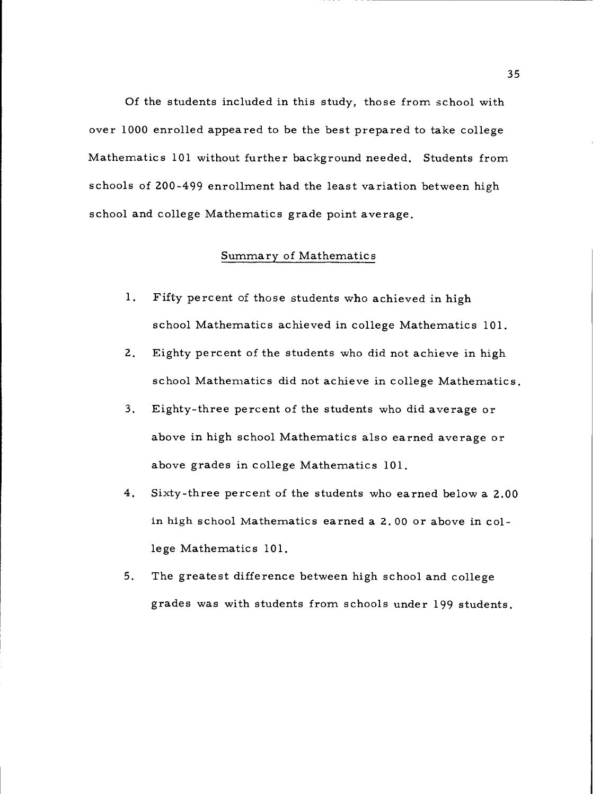Of the students included in this study, those from school with over 1000 enrolled appeared to be the best prepared to take college Mathematics 101 without further background needed. Students from schools of 200-499 enrollment had the least variation between high school and college Mathematics grade point average.

### Summary of Mathematics

- Fifty percent of those students who achieved in high  $1.$ school Mathematics achieved in college Mathematics 101.
- $2.$ Eighty percent of the students who did not achieve in high school Mathematics did not achieve in college Mathematics.
- $3<sub>1</sub>$ Eighty-three percent of the students who did average or above in high school Mathematics also earned average or above grades in college Mathematics 101.
- $4.$ Sixty-three percent of the students who earned below a 2.00 in high school Mathematics earned a 2.00 or above in college Mathematics 101.
- $5.$ The greatest difference between high school and college grades was with students from schools under 199 students,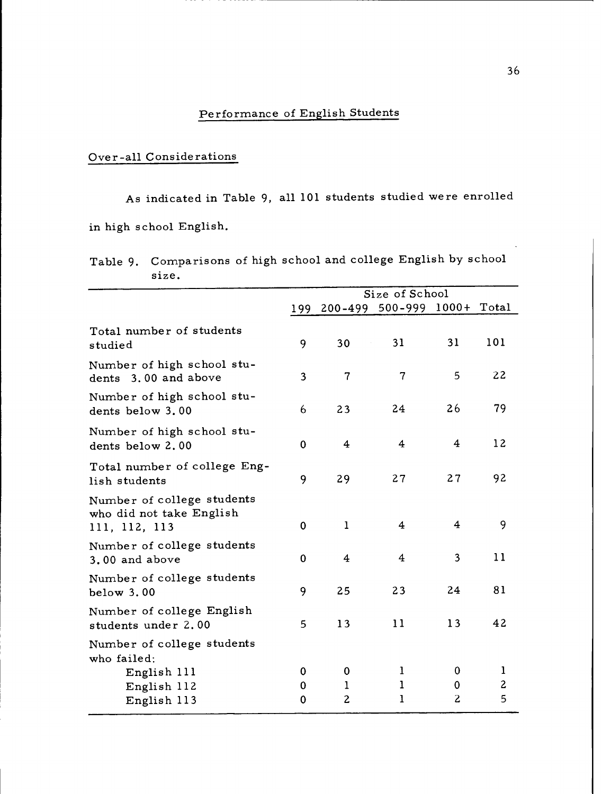# Performance of English Students

# Over-all Considerations

As indicated in Table 9, all 101 students studied were enrolled in high school English.

| Table 9. Comparisons of high school and college English by school |
|-------------------------------------------------------------------|
| size.                                                             |

|                                                                         |             |                          | Size of School              |                         |                        |
|-------------------------------------------------------------------------|-------------|--------------------------|-----------------------------|-------------------------|------------------------|
|                                                                         | 199         |                          | 200-499 500-999 1000+ Total |                         |                        |
| Total number of students<br>studied                                     | 9           | 30                       | 31                          | 31                      | 101                    |
| Number of high school stu-<br>dents 3.00 and above                      | 3           | $\overline{\mathcal{L}}$ | $\overline{7}$              | 5                       | 22                     |
| Number of high school stu-<br>dents below 3.00                          | 6           | 23                       | 24                          | 26                      | 79                     |
| Number of high school stu-<br>dents below 2.00                          | $\mathbf 0$ | $\overline{\bf 4}$       | 4                           | 4                       | 12                     |
| Total number of college Eng-<br>lish students                           | 9           | 29                       | 27                          | 27                      | 92                     |
| Number of college students<br>who did not take English<br>111, 112, 113 | $\mathbf 0$ | $\mathbf{1}$             | 4                           | $\overline{\mathbf{4}}$ | 9                      |
| Number of college students<br>3.00 and above                            | 0           | 4                        | 4                           | 3                       | 11                     |
| Number of college students<br>below 3.00                                | 9           | 25                       | 23                          | 24                      | 81                     |
| Number of college English<br>students under 2.00                        | 5           | 13                       | 11                          | 13                      | 42                     |
| Number of college students                                              |             |                          |                             |                         |                        |
| who failed:<br>English 111<br>English 112<br>English 113                | 0<br>0<br>0 | 0<br>1<br>$\overline{c}$ | 1<br>$\mathbf 1$<br>1       | 0<br>$\bf{0}$<br>2      | 1<br>$\mathbf{z}$<br>5 |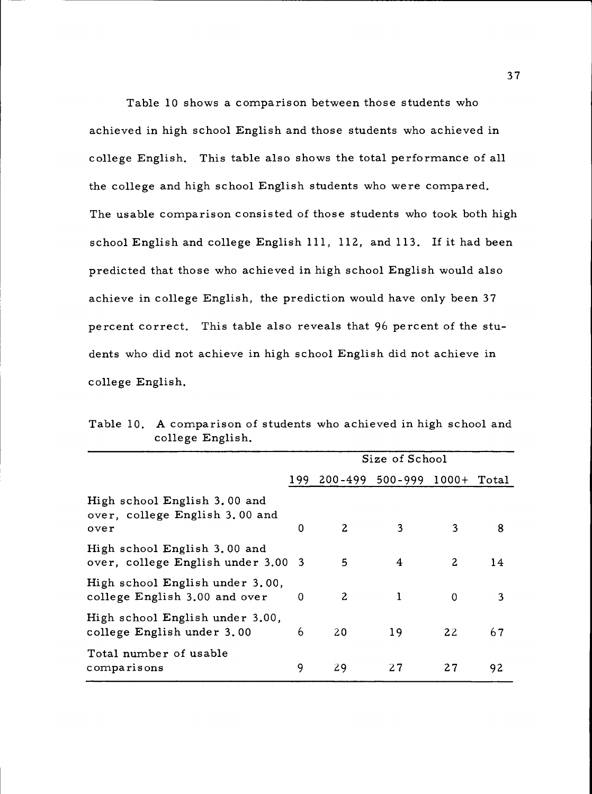Table 10 shows a comparison between those students who achieved in high school English and those students who achieved in college English. This table also shows the total performance of all the college and high school English students who were compared. The usable comparison consisted of those students who took both high school English and college English 111, 112, and 113. If it had been predicted that those who achieved in high school English would also achieve in college English, the prediction would have only been 37 percent correct. This table also reveals that 96 percent of the students who did not achieve in high school English did not achieve in college English.

|                                                                        |          |                | Size of School                  |                |    |
|------------------------------------------------------------------------|----------|----------------|---------------------------------|----------------|----|
|                                                                        |          |                | 199 200-499 500-999 1000+ Total |                |    |
| High school English 3.00 and<br>over, college English 3.00 and<br>over | $\Omega$ | $\overline{c}$ | 3                               | 3              | 8  |
| High school English 3.00 and<br>over, college English under 3.00 3     |          | 5              | 4                               | $\overline{c}$ | 14 |
| High school English under 3.00,<br>college English 3.00 and over       | $\Omega$ | $\mathbf{2}$   | 1                               | $\Omega$       | 3  |
| High school English under 3.00,<br>college English under 3.00          | 6        | 20             | 19                              | 22             | 67 |
| Total number of usable<br>comparisons                                  | 9        | 29             | 27                              | 27             | 92 |

Table 10. A comparison of students who achieved in high school and college English.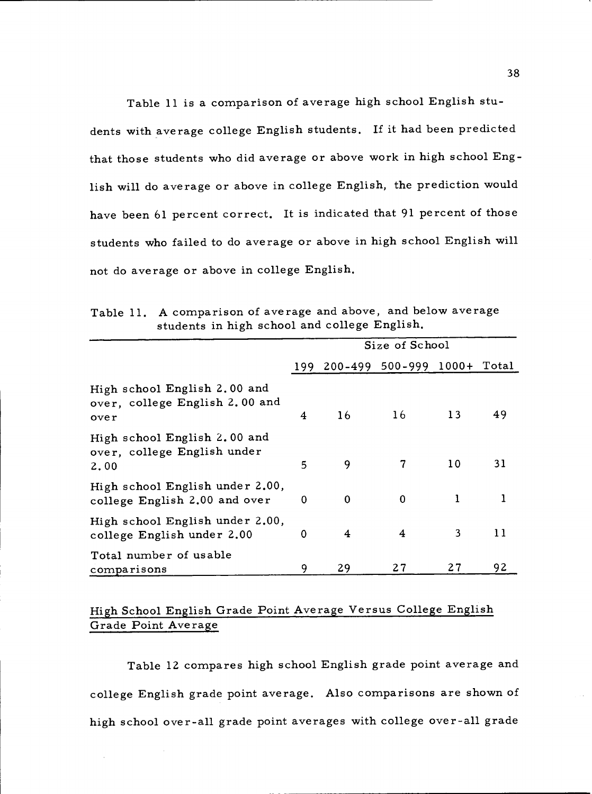Table 11 is a comparison of average high school English students with average college English students. If it had been predicted that those students who did average or above work in high school English will do average or above in college English, the prediction would have been 61 percent correct. It is indicated that 91 percent of those students who failed to do average or above in high school English will not do average or above in college English.

|                                                                        |   |          | Size of School                  |    |    |
|------------------------------------------------------------------------|---|----------|---------------------------------|----|----|
|                                                                        |   |          | 199 200-499 500-999 1000+ Total |    |    |
| High school English 2.00 and<br>over, college English 2.00 and<br>over | 4 | 16       | 16                              | 13 | 49 |
| High school English 2.00 and<br>over, college English under<br>2.00    | 5 | 9        | 7                               | 10 | 31 |
| High school English under 2.00,<br>college English 2.00 and over       | 0 | $\bf{0}$ | 0                               |    |    |
| High school English under 2.00,<br>college English under 2.00          | 0 | 4        | 4                               | 3  | 11 |
| Total number of usable<br>comparisons                                  | 9 | 29       | 27                              | 27 | 92 |

Table 11. A comparison of average and above, and below average students in high school and college English.

# High School English Grade Point Average Versus College English Grade Point Average

Table 12 compares high school English grade point average and college English grade point average. Also comparisons are shown of high school over-all grade point averages with college over-all grade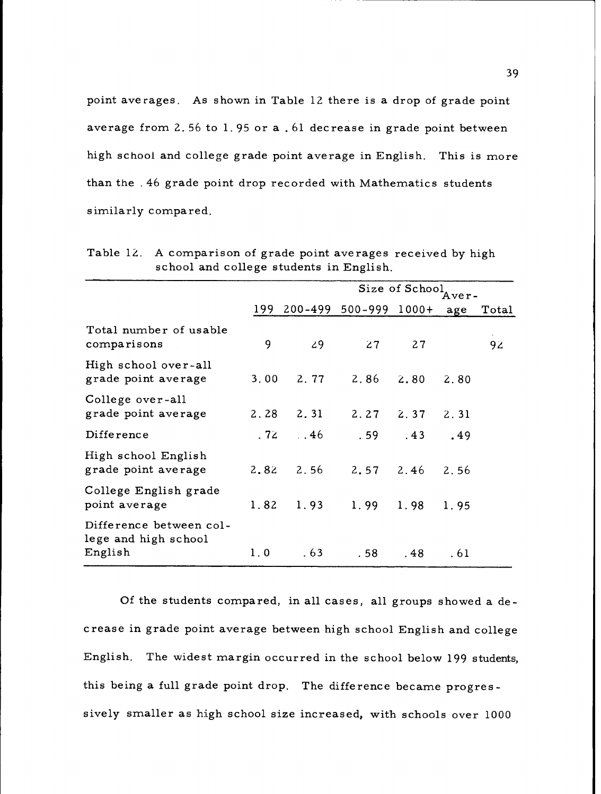point averages. As shown in Table 12 there is a drop of grade point average from 2.56 to 1.95 or a . 61 decrease in grade point between high school and college grade point average in English. This is more than the .46 grade point drop recorded with Mathematics students similarly compared.

|                                                            |      |               |                 | Size of School Aver- |      |       |
|------------------------------------------------------------|------|---------------|-----------------|----------------------|------|-------|
|                                                            | 199  |               | 200-499 500-999 | $1000+$              | age  | Total |
| Total number of usable<br>comparisons                      | 9    | 29            | 27              | 27                   |      | 92    |
| High school over-all<br>grade point average                | 3.00 | 2.77          | 2.86            | 2.80                 | 2.80 |       |
| College over-all<br>grade point average                    | 2.28 | 2, 31         | $2.27$ $2.37$   |                      | 2.31 |       |
| Difference                                                 |      | $.72 \t\t 46$ | .59             | .43                  | .49  |       |
| High school English<br>grade point average                 |      | $2,82$ $2.56$ | $2,57$ $2,46$   |                      | 2.56 |       |
| College English grade<br>point average                     | 1.82 | 1.93          | 1.99            | 1.98                 | 1.95 |       |
| Difference between col-<br>lege and high school<br>English | 1.0  | .63           | . 58            | .48                  | . 61 |       |
|                                                            |      |               |                 |                      |      |       |

Table 12. A comparison of grade point averages received by high school and college students in English.

Of the students compared, in all cases, all groups showed a decrease in grade point average between high school English and college English. The widest margin occurred in the school below 199 students, this being a full grade point drop. The difference became progressively smaller as high school size increased, with schools over 1000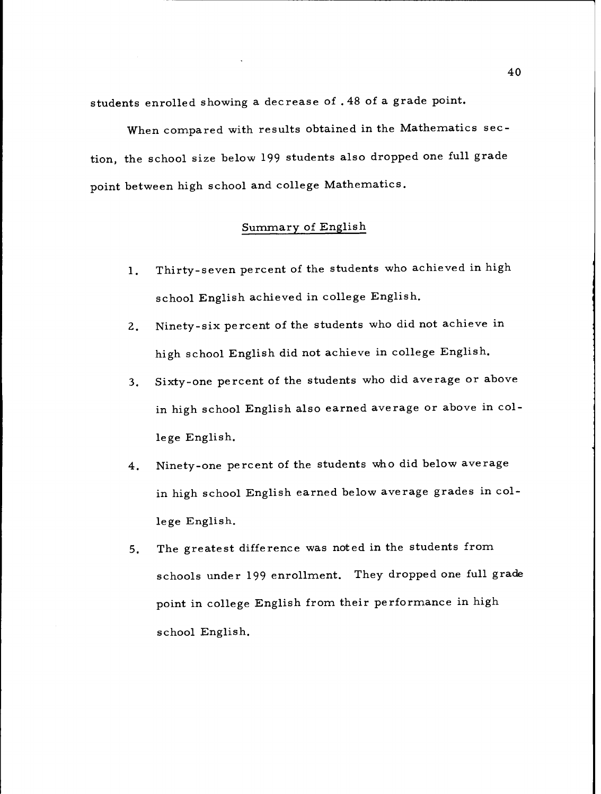students enrolled showing a decrease of .48 of a grade point.

When compared with results obtained in the Mathematics section, the school size below 199 students also dropped one full grade point between high school and college Mathematics.

### Summary of English

- Thirty-seven percent of the students who achieved in high  $1.$ school English achieved in college English.
- Ninety-six percent of the students who did not achieve in  $2.$ high school English did not achieve in college English.
- Sixty-one percent of the students who did average or above  $3.$ in high school English also earned average or above in college English.
- Ninety-one percent of the students who did below average  $4.$ in high school English earned below average grades in college English.
- The greatest difference was noted in the students from  $5.$ schools under 199 enrollment. They dropped one full grade point in college English from their performance in high school English.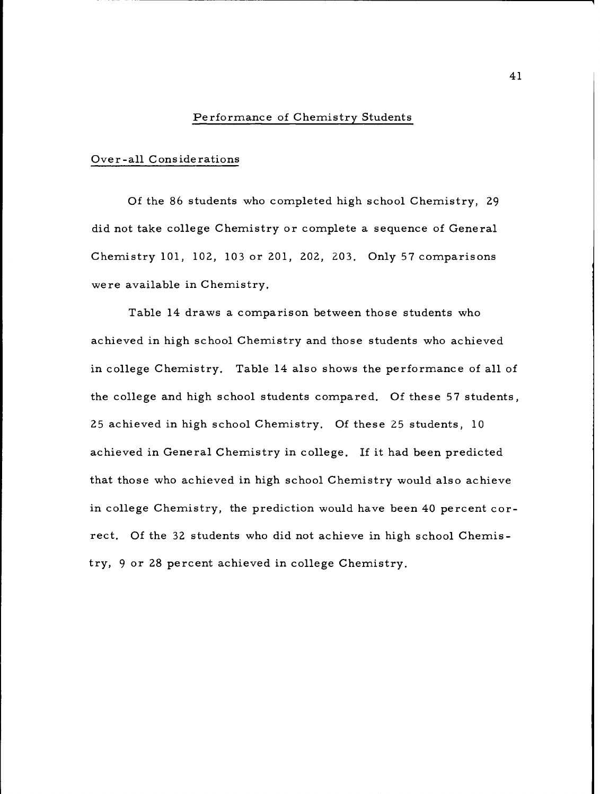### Performance of Chemistry Students

### Over-all Considerations

Of the 86 students who completed high school Chemistry, 29 did not take college Chemistry or complete a sequence of General Chemistry 101, 102, 103 or 201, 202, 203. Only 57 comparisons were available in Chemistry.

Table 14 draws a comparison between those students who achieved in high school Chemistry and those students who achieved in college Chemistry. Table 14 also shows the performance of all of the college and high school students compared. Of these 57 students, 25 achieved in high school Chemistry. Of these 25 students, 10 achieved in General Chemistry in college. If it had been predicted that those who achieved in high school Chemistry would also achieve in college Chemistry, the prediction would have been 40 percent correct. Of the 32 students who did not achieve in high school Chemistry, 9 or 28 percent achieved in college Chemistry.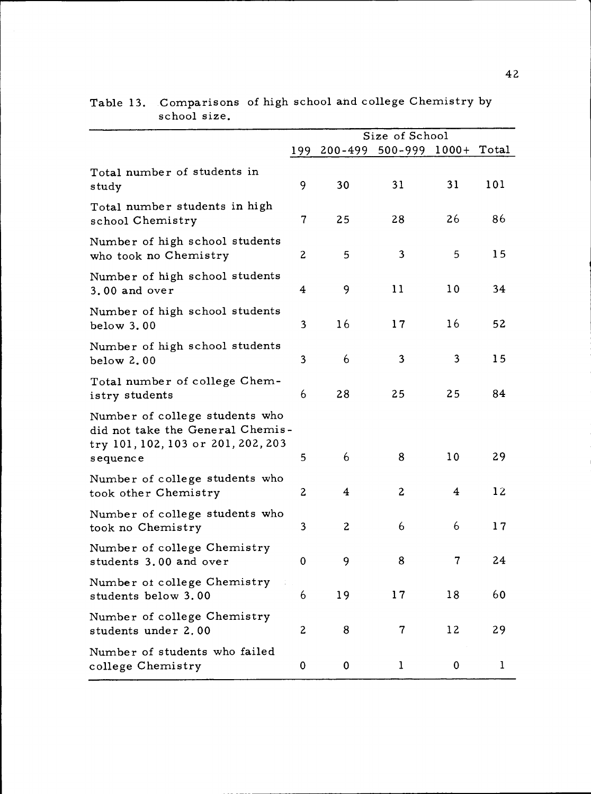|                                                                                                                      |                          |                | Size of School      |             |              |
|----------------------------------------------------------------------------------------------------------------------|--------------------------|----------------|---------------------|-------------|--------------|
|                                                                                                                      | 199                      | $200 - 499$    | 500-999 1000+ Total |             |              |
| Total number of students in<br>study                                                                                 | 9                        | 30             | 31                  | 31          | 101          |
| Total number students in high<br>school Chemistry                                                                    | $\overline{\mathcal{U}}$ | 25             | 28                  | 26          | 86           |
| Number of high school students<br>who took no Chemistry                                                              | 2                        | 5              | 3                   | 5           | 15           |
| Number of high school students<br>3.00 and over                                                                      | 4                        | 9              | 11                  | 10          | 34           |
| Number of high school students<br>below 3.00                                                                         | 3                        | 16             | 17                  | 16          | 52           |
| Number of high school students<br>below 2.00                                                                         | 3                        | 6              | 3                   | 3           | 15           |
| Total number of college Chem-<br>istry students                                                                      | 6                        | 28             | 25                  | 25          | 84           |
| Number of college students who<br>did not take the General Chemis-<br>try 101, 102, 103 or 201, 202, 203<br>sequence | 5                        | 6              | 8                   | 10          | 29           |
| Number of college students who<br>took other Chemistry                                                               | $\boldsymbol{2}$         | 4              | $\mathbf{2}$        | 4           | 12           |
| Number of college students who<br>took no Chemistry                                                                  | 3                        | $\overline{c}$ | 6                   | 6           | 17           |
| Number of college Chemistry<br>students 3.00 and over                                                                | 0                        | 9              | 8                   | 7           | 24           |
| Number ot college Chemistry<br>students below 3.00                                                                   | 6                        | 19             | 17                  | 18          | 60           |
| Number of college Chemistry<br>students under 2.00                                                                   | 2                        | 8              | 7                   | 12          | 29           |
| Number of students who failed<br>college Chemistry                                                                   | 0                        | $\mathbf{0}$   | $\mathbf{1}$        | $\mathbf 0$ | $\mathbf{1}$ |

Table 13. Comparisons of high school and college Chemistry by school size.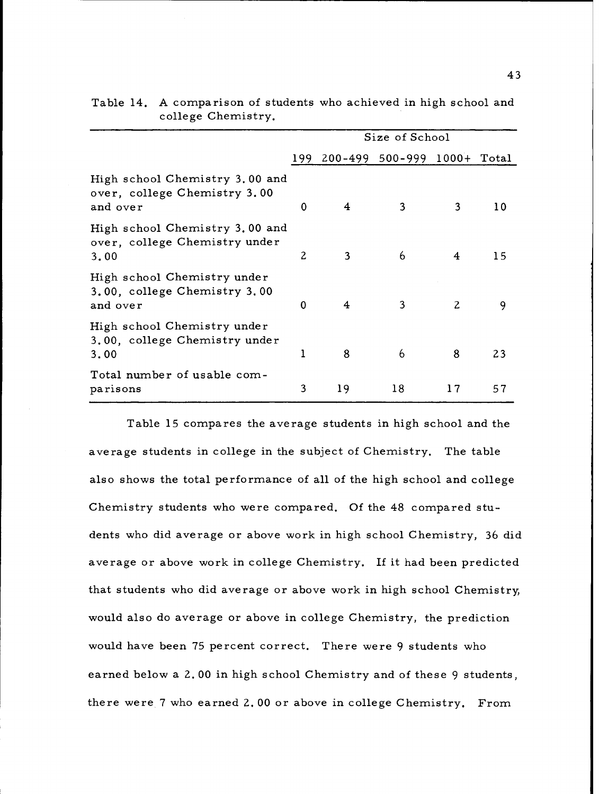|                                                                            |             |    | Size of School              |                |                 |
|----------------------------------------------------------------------------|-------------|----|-----------------------------|----------------|-----------------|
|                                                                            | 199.        |    | 200-499 500-999 1000+ Total |                |                 |
| High school Chemistry 3.00 and<br>over, college Chemistry 3.00<br>and over | $\mathbf 0$ | 4  | 3                           | 3              | 10 <sup>°</sup> |
| High school Chemistry 3.00 and<br>over, college Chemistry under<br>3.00    | 2           | 3  | 6                           | 4              | 15              |
| High school Chemistry under<br>3.00, college Chemistry 3.00<br>and over    | $\Omega$    | 4  | 3                           | $\overline{c}$ | 9               |
| High school Chemistry under<br>3.00, college Chemistry under<br>3,00       | 1           | 8  | 6                           | 8              | 23              |
| Total number of usable com-<br>parisons                                    | 3           | 19 | 18                          | 17             | 57              |

| Table 14. A comparison of students who achieved in high school and |
|--------------------------------------------------------------------|
| college Chemistry.                                                 |

Table 15 compares the average students in high school and the average students in college in the subject of Chemistry. The table also shows the total performance of all of the high school and college Chemistry students who were compared. Of the 48 compared students who did average or above work in high school Chemistry, 36 did average or above work in college Chemistry. If it had been predicted that students who did average or above work in high school Chemistry, would also do average or above in college Chemistry, the prediction would have been 75 percent correct. There were 9 students who earned below a 2.00 in high school Chemistry and of these 9 students, there were 7 who earned 2.00 or above in college Chemistry. From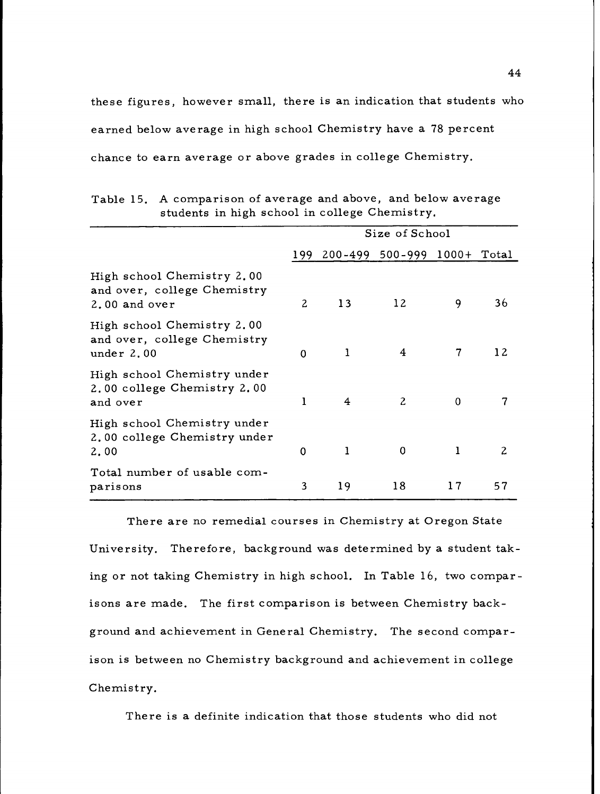these figures, however small, there is an indication that students who earned below average in high school Chemistry have a 78 percent chance to earn average or above grades in college Chemistry.

|                                                                            |             |                                 | Size of School |             |    |
|----------------------------------------------------------------------------|-------------|---------------------------------|----------------|-------------|----|
|                                                                            |             | 199 200-499 500-999 1000+ Total |                |             |    |
| High school Chemistry 2.00<br>and over, college Chemistry<br>2.00 and over | 2           | 13                              | 12             | 9           | 36 |
| High school Chemistry 2.00<br>and over, college Chemistry<br>under $2.00$  | $\mathbf 0$ | 1                               | 4              | 7           | 12 |
| High school Chemistry under<br>2.00 college Chemistry 2.00<br>and over     | 1           | 4                               | $\overline{c}$ | $\mathbf 0$ | 7  |
| High school Chemistry under<br>2.00 college Chemistry under<br>2.00        | $\Omega$    | $\bf{l}$                        | $\mathbf 0$    | 1           | 2  |
| Total number of usable com-<br>parisons                                    | 3           | 19                              | 18             | 17          | 57 |

Table 15. A comparison of average and above, and below average students in high school in college Chemistry.

There are no remedial courses in Chemistry at Oregon State University. Therefore, background was determined by a student taking or not taking Chemistry in high school. In Table 16, two comparisons are made. The first comparison is between Chemistry background and achievement in General Chemistry. The second comparison is between no Chemistry background and achievement in college Chemistry.

There is a definite indication that those students who did not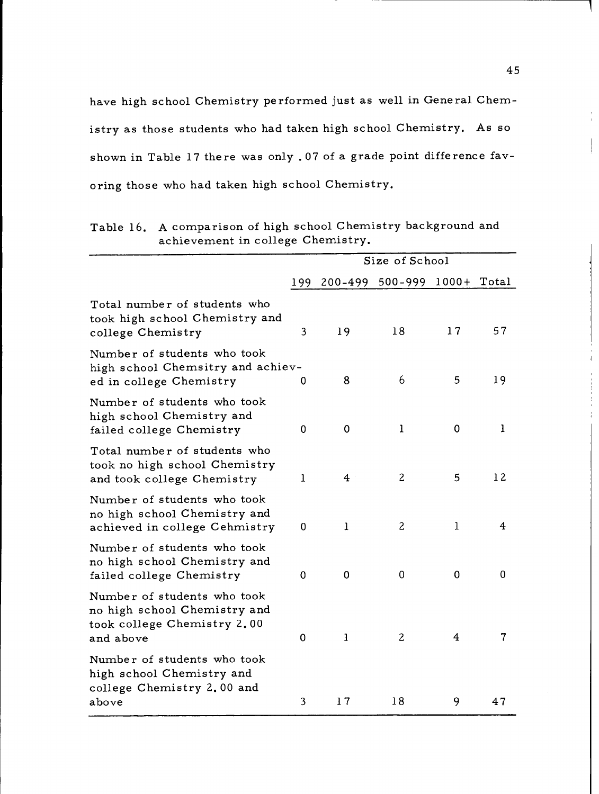have high school Chemistry performed just as well in General Chemistry as those students who had taken high school Chemistry. As so shown in Table 17 there was only .07 of a grade point difference favoring those who had taken high school Chemistry.

|                                                                                                         |     |                         | Size of School              |                         |              |
|---------------------------------------------------------------------------------------------------------|-----|-------------------------|-----------------------------|-------------------------|--------------|
|                                                                                                         | 199 |                         | 200-499 500-999 1000+ Total |                         |              |
| Total number of students who<br>took high school Chemistry and<br>college Chemistry                     | 3   | 19                      | 18                          | 17                      | 57           |
| Number of students who took<br>high school Chemsitry and achiev-<br>ed in college Chemistry             | 0   | 8                       | 6                           | 5                       | 19           |
| Number of students who took<br>high school Chemistry and<br>failed college Chemistry                    | 0   | 0                       | 1                           | $\mathbf 0$             | $\mathbf{1}$ |
| Total number of students who<br>took no high school Chemistry<br>and took college Chemistry             | 1   | $\overline{\mathbf{4}}$ | 2                           | 5                       | 12           |
| Number of students who took<br>no high school Chemistry and<br>achieved in college Cehmistry            | 0   | ı                       | $\overline{c}$              | $\mathbf{1}$            | 4            |
| Number of students who took<br>no high school Chemistry and<br>failed college Chemistry                 | 0   | $\mathbf 0$             | $\mathbf 0$                 | $\mathbf 0$             | 0            |
| Number of students who took<br>no high school Chemistry and<br>took college Chemistry 2.00<br>and above | 0   | $\mathbf{1}$            | $\overline{c}$              | $\overline{\mathbf{4}}$ | 7            |
| Number of students who took<br>high school Chemistry and<br>college Chemistry 2.00 and<br>above         | 3   | 17                      | 18                          | 9                       | 47           |

Table 16. A comparison of high school Chemistry background and achievement in college Chemistry.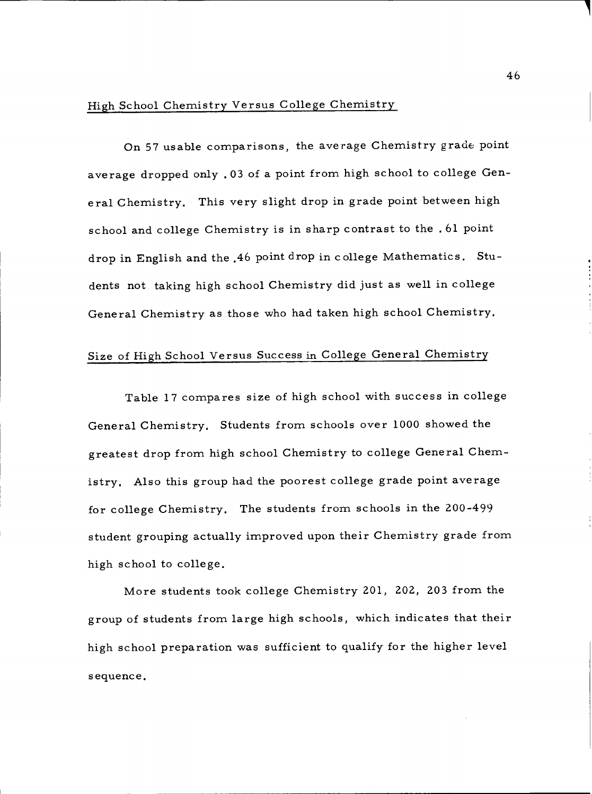# High School Chemistry Versus College Chemistry

On 57 usable comparisons, the average Chemistry grade point average dropped only .03 of a point from high school to college General Chemistry. This very slight drop in grade point between high school and college Chemistry is in sharp contrast to the .61 point drop in English and the .46 point drop in college Mathematics. Students not taking high school Chemistry did just as well in college General Chemistry as those who had taken high school Chemistry.

## Size of High School Versus Success in College General Chemistry

Table 17 compares size of high school with success in college General Chemistry. Students from schools over 1000 showed the greatest drop from high school Chemistry to college General Chemistry. Also this group had the poorest college grade point average for college Chemistry. The students from schools in the 200-499 student grouping actually improved upon their Chemistry grade from high school to college.

More students took college Chemistry 201, 202, 203 from the group of students from large high schools, which indicates that their high school preparation was sufficient to qualify for the higher level sequence.

46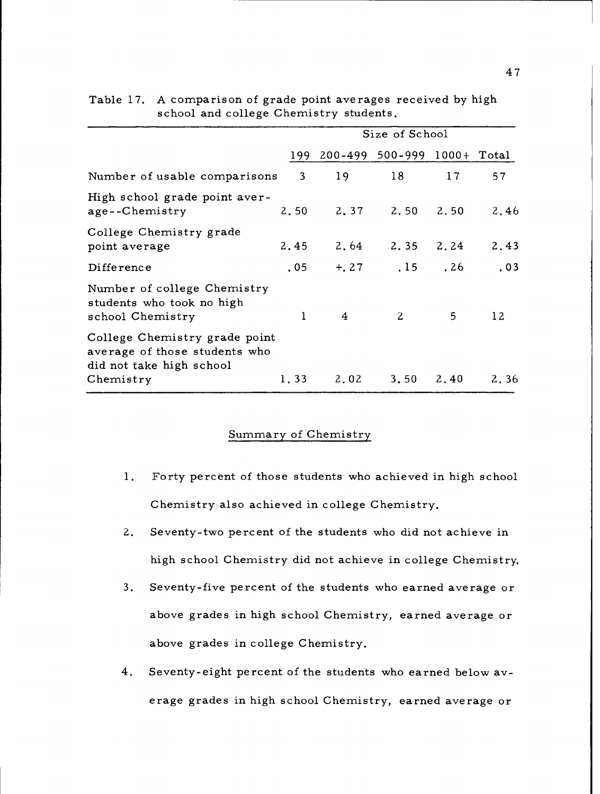|                                                                                            |                |    | Size of School                  |             |      |
|--------------------------------------------------------------------------------------------|----------------|----|---------------------------------|-------------|------|
|                                                                                            |                |    | 199 200-499 500-999 1000+ Total |             |      |
| Number of usable comparisons                                                               | 3 <sup>7</sup> | 19 | 18                              | 17          | 57   |
| High school grade point aver-<br>age--Chemistry                                            | 2.50           |    | 2.37 2.50                       | 2.50        | 2.46 |
| College Chemistry grade<br>point average                                                   | 2.45           |    | $2,64$ $2,35$ $2,24$            |             | 2.43 |
| Difference                                                                                 | .05            |    | $+, 27$ , 15                    | .26         | .03  |
| Number of college Chemistry<br>students who took no high<br>school Chemistry               | 1              | 4  | 2                               | $5^{\circ}$ | 12   |
| College Chemistry grade point<br>average of those students who<br>did not take high school |                |    |                                 |             |      |
| Chemistry                                                                                  | 1.33           |    | $2,02$ $3,50$ $2,40$            |             | 2.36 |

### Table 17. A comparison of grade point averages received by high school and college Chemistry students.

### Summary of Chemistry

- $1.$ Forty percent of those students who achieved in high school Chemistry also achieved in college Chemistry.
- $2.$ Seventy-two percent of the students who did not achieve in high school Chemistry did not achieve in college Chemistry.
- Seventy-five percent of the students who earned average or  $3<sub>1</sub>$ above grades in high school Chemistry, earned average or above grades in college Chemistry,
- Seventy-eight percent of the students who earned below average grades in high school Chemistry, earned average or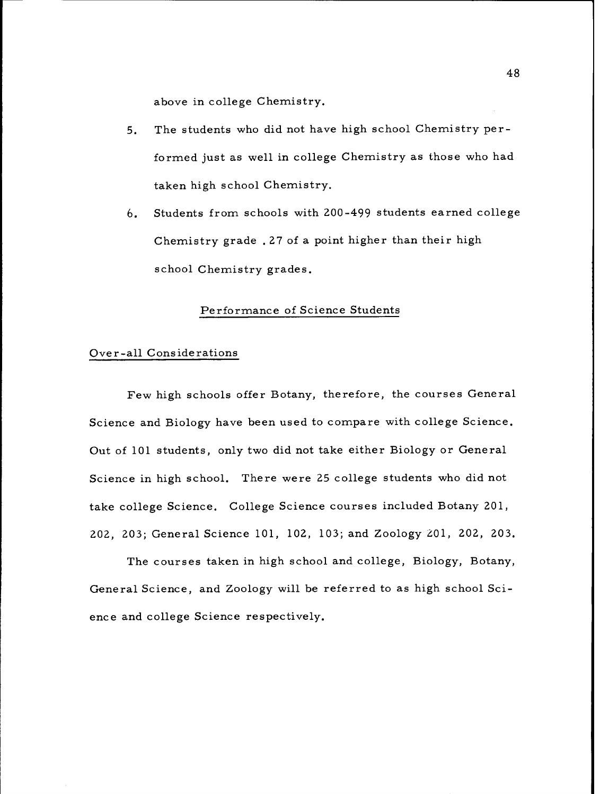above in college Chemistry.

- The students who did not have high school Chemistry per- $5.$ formed just as well in college Chemistry as those who had taken high school Chemistry.
- Students from schools with 200-499 students earned college 6. Chemistry grade .27 of a point higher than their high school Chemistry grades.

### Performance of Science Students

### Over-all Considerations

Few high schools offer Botany, therefore, the courses General Science and Biology have been used to compare with college Science. Out of 101 students, only two did not take either Biology or General Science in high school. There were 25 college students who did not take college Science. College Science courses included Botany 201, 202, 203; General Science 101, 102, 103; and Zoology 201, 202, 203.

The courses taken in high school and college, Biology, Botany, General Science, and Zoology will be referred to as high school Science and college Science respectively.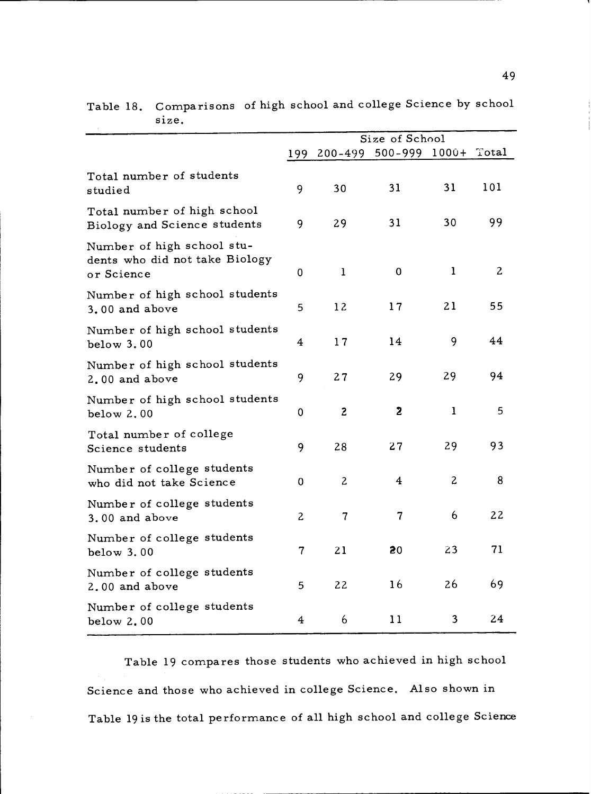|                                                                            | Size of School |                          |                         |                |              |  |
|----------------------------------------------------------------------------|----------------|--------------------------|-------------------------|----------------|--------------|--|
|                                                                            | 199            | 200-499                  | $500 - 999$ $1000 +$    |                | Total        |  |
| Total number of students<br>studied                                        | 9              | 30                       | 31                      | 31             | 101          |  |
| Total number of high school<br>Biology and Science students                | 9              | 29                       | 31                      | 30             | 99           |  |
| Number of high school stu-<br>dents who did not take Biology<br>or Science | 0              | $\mathbf{1}$             | $\mathbf 0$             | 1              | $\mathbf{2}$ |  |
| Number of high school students<br>3.00 and above                           | 5              | 12                       | 17                      | 21             | 55           |  |
| Number of high school students<br>below 3.00                               | 4              | 17                       | 14                      | 9              | 44           |  |
| Number of high school students<br>2.00 and above                           | 9              | 27                       | 29                      | 29             | 94           |  |
| Number of high school students<br>below 2.00                               | 0              | $\mathbf{2}$             | $\mathbf{z}$            | $\mathbf{1}$   | 5            |  |
| Total number of college<br>Science students                                | 9              | 28                       | 27                      | 29             | 93           |  |
| Number of college students<br>who did not take Science                     | 0              | $\overline{c}$           | $\overline{\mathbf{4}}$ | $\overline{c}$ | 8            |  |
| Number of college students<br>3.00 and above                               | $\overline{c}$ | $\overline{\mathcal{L}}$ | $\overline{7}$          | 6              | 22           |  |
| Number of college students<br>below 3.00                                   | 7              | 21                       | 20                      | 23             | 71           |  |
| Number of college students<br>2.00 and above                               | 5              | 22                       | 16                      | 26             | 69           |  |
| Number of college students<br>below $2.00$                                 | 4              | 6                        | 11                      | 3              | 24           |  |

Table 18. Comparisons of high school and college Science by school size.

Table 19 compares those students who achieved in high school Science and those who achieved in college Science. Also shown in Table 19 is the total performance of all high school and college Science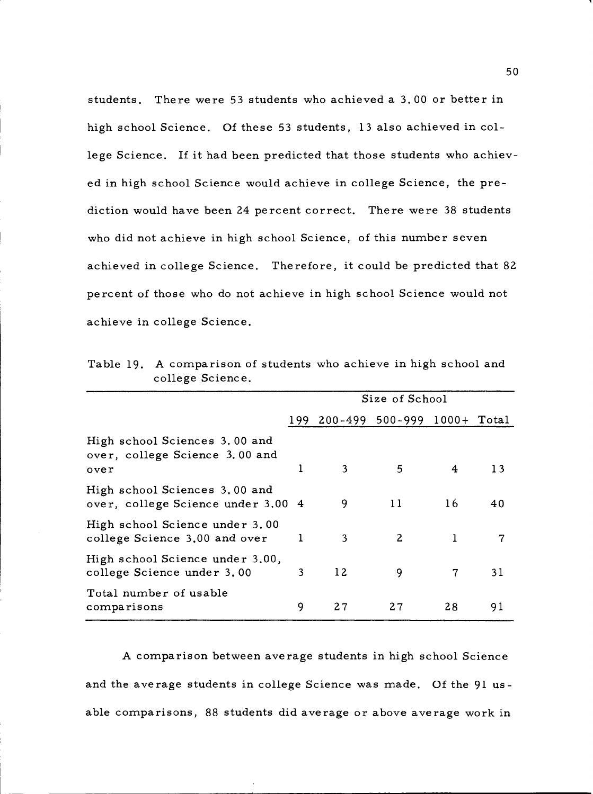students. There were 53 students who achieved a 3.00 or better in high school Science. Of these 53 students, 13 also achieved in college Science. If it had been predicted that those students who achieved in high school Science would achieve in college Science, the prediction would have been 24 percent correct. There were 38 students who did not achieve in high school Science, of this number seven achieved in college Science. Therefore, it could be predicted that 82 percent of those who do not achieve in high school Science would not achieve in college Science.

|                                                                         | Size of School |    |                             |    |    |  |
|-------------------------------------------------------------------------|----------------|----|-----------------------------|----|----|--|
|                                                                         | 199            |    | 200-499 500-999 1000+ Total |    |    |  |
| High school Sciences 3.00 and<br>over, college Science 3.00 and<br>over |                | 3  | 5                           | 4  | 13 |  |
| High school Sciences 3.00 and<br>over, college Science under 3.00 4     |                | 9  | 11                          | 16 | 40 |  |
| High school Science under 3.00<br>college Science 3.00 and over         | 1              | 3  | $\mathbf{2}$                |    | 7  |  |
| High school Science under 3.00,<br>college Science under 3.00           | 3              | 12 | 9                           | 7  | 31 |  |
| Total number of usable<br>comparisons                                   | 9              | 27 | 27                          | 28 | 91 |  |

Table 19. A comparison of students who achieve in high school and college Science.

A comparison between average students in high school Science and the average students in college Science was made. Of the 91 usable comparisons, 88 students did average or above average work in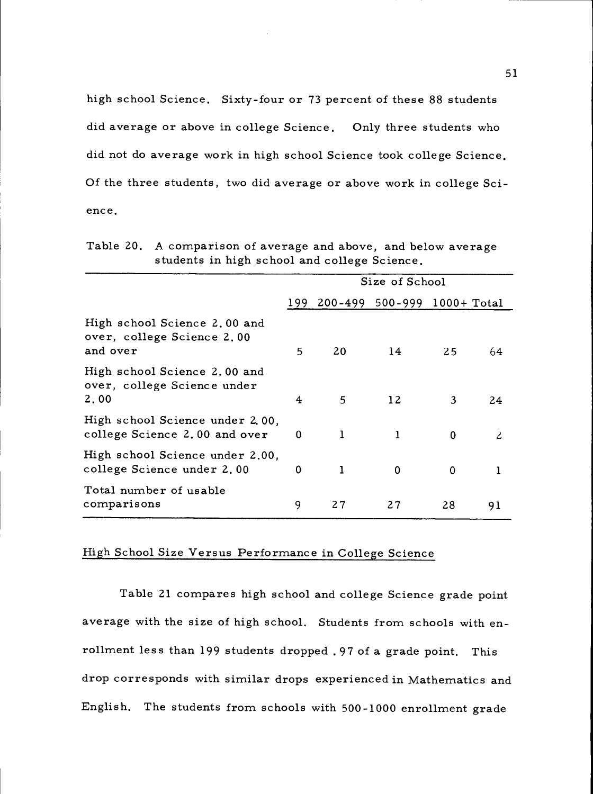high school Science. Sixty-four or 73 percent of these 88 students did average or above in college Science. Only three students who did not do average work in high school Science took college Science. Of the three students, two did average or above work in college Science.

|                                                                        | Size of School |                                 |                 |          |    |  |
|------------------------------------------------------------------------|----------------|---------------------------------|-----------------|----------|----|--|
|                                                                        |                | 199 200-499 500-999 1000+ Total |                 |          |    |  |
| High school Science 2.00 and<br>over, college Science 2.00<br>and over | 5              | 20                              | 14              | 25       | 64 |  |
| High school Science 2.00 and<br>over, college Science under<br>2.00    | 4              | 5                               | 12 <sup>2</sup> | 3        | 24 |  |
| High school Science under 2.00.<br>college Science 2.00 and over       | $\bf{0}$       | $\mathbf{1}$                    | 1               | $\bf{0}$ | 2  |  |
| High school Science under 2.00,<br>college Science under 2.00          | 0              | 1                               | $\bf{0}$        | 0        | 1  |  |
| Total number of usable<br>comparisons                                  | 9              | 27                              | 27              | 28       | 91 |  |

Table 20. A comparison of average and above, and below average students in high school and college Science.

### High School Size Versus Performance in College Science

Table 21 compares high school and college Science grade point average with the size of high school. Students from schools with enrollment less than 199 students dropped .97 of a grade point. This drop corresponds with similar drops experienced in Mathematics and English. The students from schools with 500-1000 enrollment grade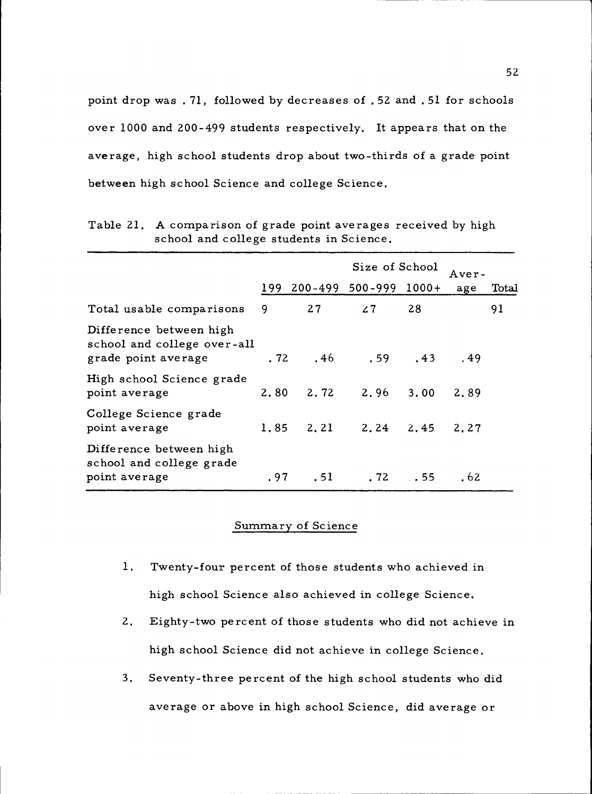point drop was . 71, followed by decreases of .52 and .51 for schools over 1000 and 200-499 students respectively. It appears that on the average, high school students drop about two-thirds of a grade point between high school Science and college Science.

|                                                                               |      | Size of School |                                   |    |      | <b>Aver-</b> |  |
|-------------------------------------------------------------------------------|------|----------------|-----------------------------------|----|------|--------------|--|
|                                                                               | 199  |                | 200-499 500-999 1000+             |    | age  | Total        |  |
| Total usable comparisons                                                      | 9    | 27             | 27                                | 28 |      | 91           |  |
| Difference between high<br>school and college over-all<br>grade point average |      |                | $.72 \t .46 \t .59 \t .43 \t .49$ |    |      |              |  |
| High school Science grade<br>point average                                    |      |                | $2,80$ $2,72$ $2,96$ $3,00$       |    | 2.89 |              |  |
| College Science grade<br>point average                                        | 1.85 |                | 2.21 2.24 2.45                    |    | 2.27 |              |  |
| Difference between high<br>school and college grade<br>point average          |      | .97.51         | $.72$ $.55$                       |    | . 62 |              |  |

Table 21. A comparison of grade point averages received by high school and college students in Science.

### Summary of Science

- 1. Twenty-four percent of those students who achieved in high school Science also achieved in college Science.
- $2.$ Eighty-two percent of those students who did not achieve in high school Science did not achieve in college Science.
- $3.$ Seventy-three percent of the high school students who did average or above in high school Science, did average or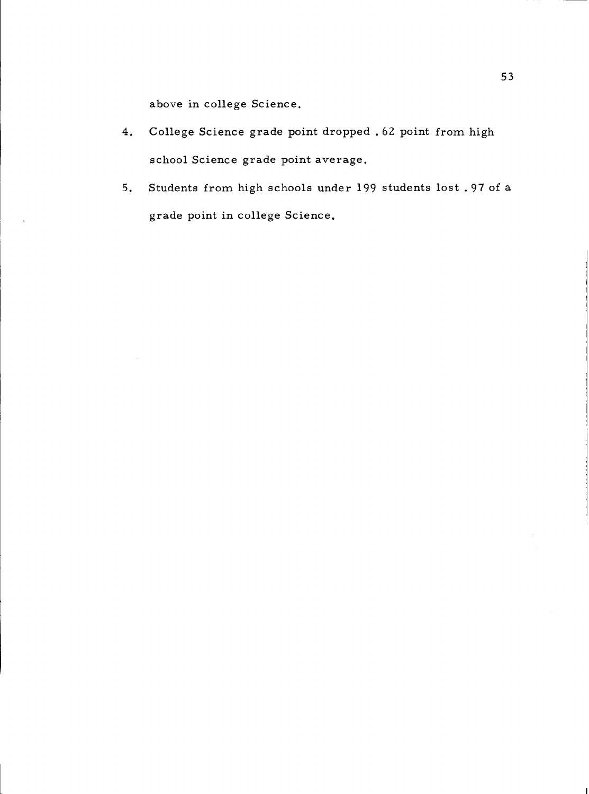above in college Science.

- College Science grade point dropped .62 point from high  $4.$ school Science grade point average.
- Students from high schools under 199 students lost .97 of a 5. grade point in college Science.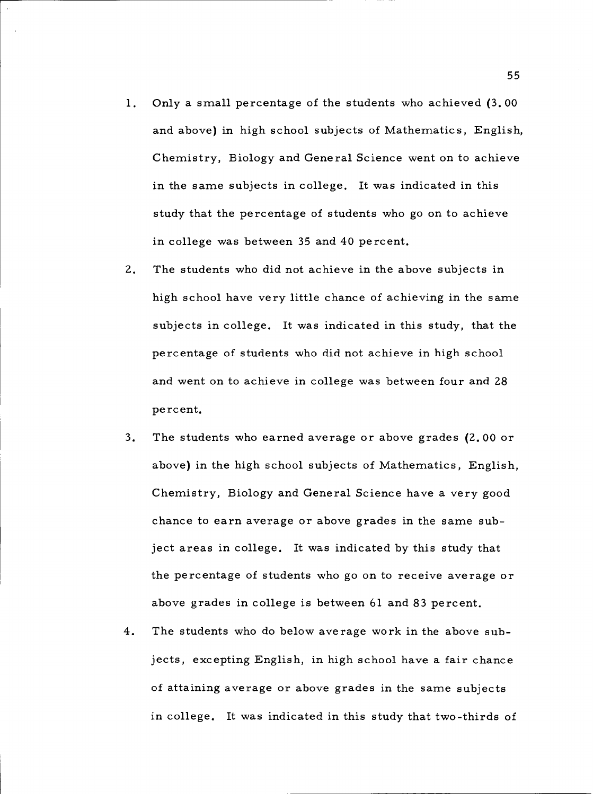- $1.$ Only a small percentage of the students who achieved (3.00 and above) in high school subjects of Mathematics, English, Chemistry, Biology and General Science went on to achieve in the same subjects in college. It was indicated in this study that the percentage of students who go on to achieve in college was between 35 and 40 percent.
- $2.$ The students who did not achieve in the above subjects in high school have very little chance of achieving in the same subjects in college. It was indicated in this study, that the percentage of students who did not achieve in high school and went on to achieve in college was between four and 28 percent.
- $3<sub>1</sub>$ The students who earned average or above grades (2.00 or above) in the high school subjects of Mathematics, English, Chemistry, Biology and General Science have a very good chance to earn average or above grades in the same subject areas in college. It was indicated by this study that the percentage of students who go on to receive average or above grades in college is between 61 and 83 percent.
- $4.$ The students who do below average work in the above subjects, excepting English, in high school have a fair chance of attaining average or above grades in the same subjects in college. It was indicated in this study that two-thirds of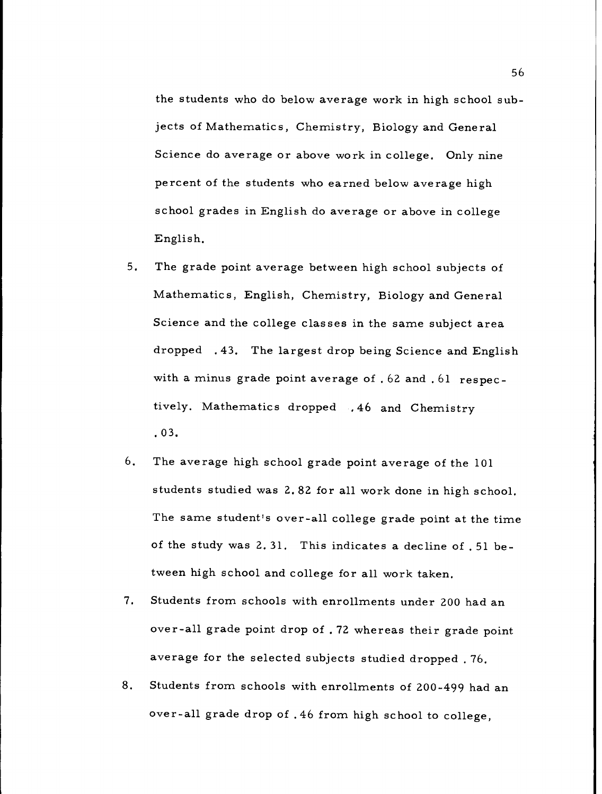the students who do below average work in high school subjects of Mathematics, Chemistry, Biology and General Science do average or above work in college. Only nine percent of the students who earned below average high school grades in English do average or above in college English.

- 5. The grade point average between high school subjects of Mathematics, English, Chemistry, Biology and General Science and the college classes in the same subject area dropped .43. The largest drop being Science and English with a minus grade point average of .62 and .61 respectively. Mathematics dropped , 46 and Chemistry .03.
- 6. The average high school grade point average of the 101 students studied was 2.82 for all work done in high school. The same student's over-all college grade point at the time of the study was 2.31. This indicates a decline of .51 between high school and college for all work taken.
- $7.$ Students from schools with enrollments under 200 had an over-all grade point drop of . 72 whereas their grade point average for the selected subjects studied dropped . 76.
- 8. Students from schools with enrollments of 200-499 had an over-all grade drop of .46 from high school to college,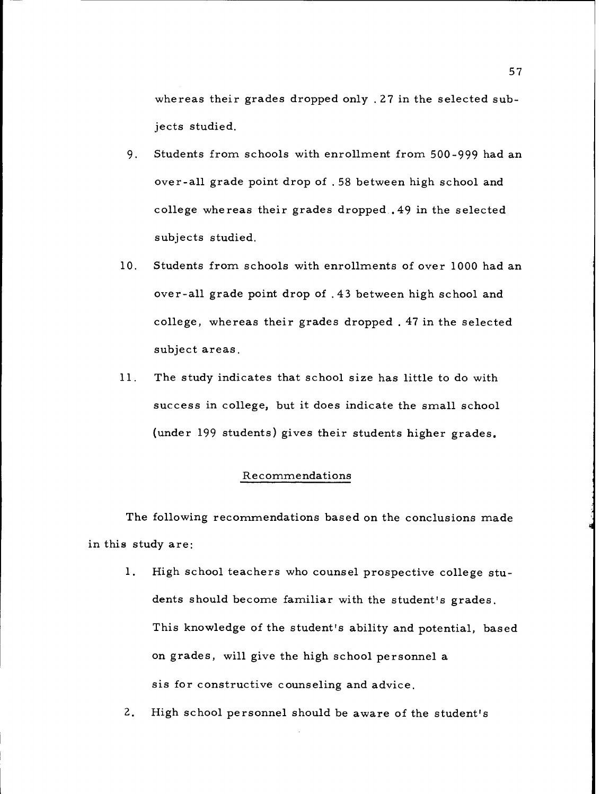whereas their grades dropped only .27 in the selected subjects studied.

- Students from schools with enrollment from 500-999 had an 9. over-all grade point drop of .58 between high school and college whereas their grades dropped .49 in the selected subjects studied.
- Students from schools with enrollments of over 1000 had an  $10.$ over-all grade point drop of .43 between high school and college, whereas their grades dropped . 47 in the selected subject areas.
- The study indicates that school size has little to do with 11. success in college, but it does indicate the small school (under 199 students) gives their students higher grades.

### Recommendations

The following recommendations based on the conclusions made in this study are:

- $1.$ High school teachers who counsel prospective college students should become familiar with the student's grades. This knowledge of the student's ability and potential, based on grades, will give the high school personnel a sis for constructive counseling and advice.
- $2.$ High school personnel should be aware of the student's

57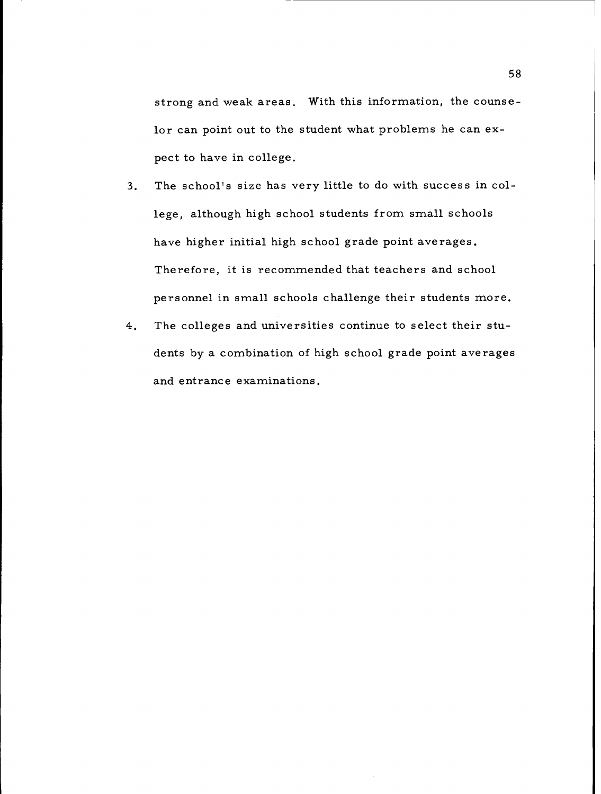strong and weak areas. With this information, the counselor can point out to the student what problems he can expect to have in college.

- The school's size has very little to do with success in col- $3.$ lege, although high school students from small schools have higher initial high school grade point averages. Therefore, it is recommended that teachers and school personnel in small schools challenge their students more.
- $4.$ The colleges and universities continue to select their students by a combination of high school grade point averages and entrance examinations.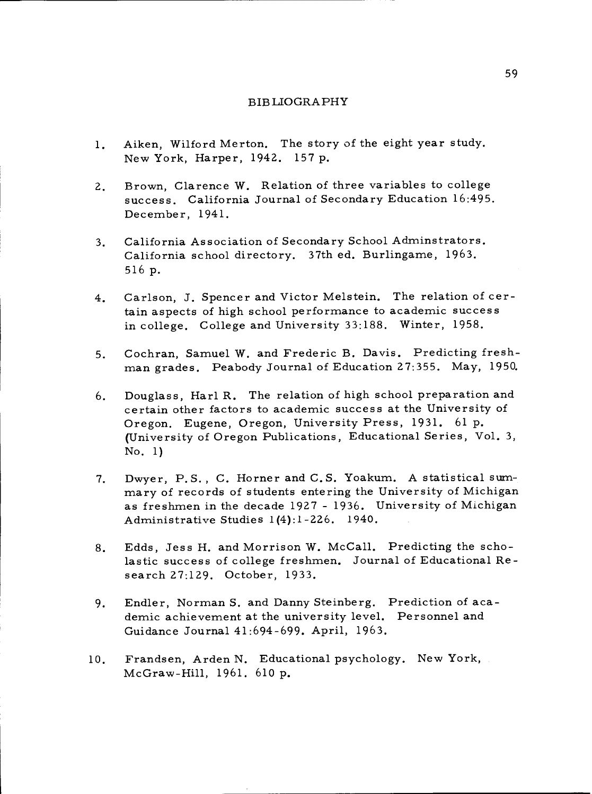#### BIBLIOGRAPHY

- Aiken, Wilford Merton. The story of the eight year study. 1. New York, Harper, 1942. 157 p.
- Brown, Clarence W. Relation of three variables to college  $2.$ success. California Journal of Secondary Education 16:495. December, 1941.
- California Association of Secondary School Adminstrators.  $3.$ California school directory. 37th ed. Burlingame, 1963. 516 p.
- Carlson, J. Spencer and Victor Melstein. The relation of cer- $4.$ tain aspects of high school performance to academic success in college. College and University 33:188. Winter, 1958.
- Cochran, Samuel W. and Frederic B. Davis. Predicting fresh- $5.$ man grades. Peabody Journal of Education 27:355. May, 1950.
- Douglass, Harl R. The relation of high school preparation and 6. certain other factors to academic success at the University of Oregon. Eugene, Oregon, University Press, 1931. 61 p. (University of Oregon Publications, Educational Series, Vol. 3, No. 1)
- Dwyer, P.S. , C. Horner and C. S. Yoakum. A statistical sum- $7.$ mary of records of students entering the University of Michigan as freshmen in the decade 1927 - 1936. University of Michigan Administrative Studies 1 (4) :1 -226. 1940.
- Edds, Jess H. and Morrison W. McCall. Predicting the scho-8. lastic success of college freshmen. Journal of Educational Research 27:129. October, 1933.
- Endler, Norman S. and Danny Steinberg. Prediction of aca-9. demic achievement at the university level. Personnel and Guidance Journal 41:694-699. April, 1963.
- Frandsen, Arden N. Educational psychology. New York,  $10.$ McGraw-Hill, 1961. 610 p.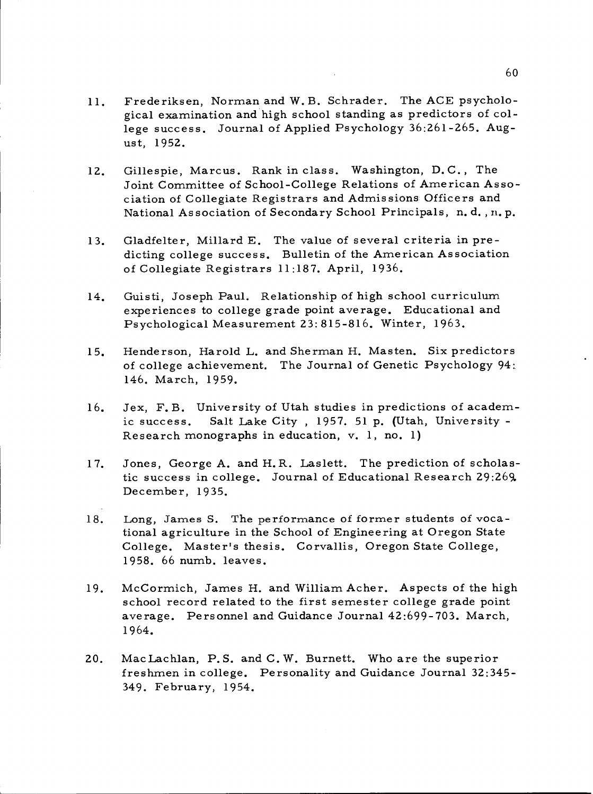- Frederiksen, Norman and W. B. Schrader. The ACE psycholo-11. gical examination and high school standing as predictors of college success. Journal of Applied Psychology 36:261-265. August, 1952.
- Gillespie, Marcus. Rank in class. Washington, D.C. , The  $12.$ Joint Committee of School-College Relations of American Association of Collegiate Registrars and Admissions Officers and National Association of Secondary School Principals, n. d. , n. p.
- Gladfelter, Millard E. The value of several criteria in pre- $13.$ dicting college success. Bulletin of the American Association of Collegiate Registrars 11:187. April, 1936.
- Guisti, Joseph Paul. Relationship of high school curriculum  $14.$ experiences to college grade point average. Educational and Psychological Measurement 23:815-816. Winter, 1963.
- Henderson, Harold L. and Sherman H. Masten. Six predictors  $15.$ of college achievement. The Journal of Genetic Psychology 94: 146. March, 1959.
- 16. Jex, F. B. University of Utah studies in predictions of academic success. Salt Lake City , 1957. 51 p. (Utah, University - Research monographs in education, v. 1, no. 1)
- 17. Jones, George A. and H.R. Laslett. The prediction of scholastic success in college. Journal of Educational Research 29:269. December, 1935.
- 18. Long, James S. The performance of former students of vocational agriculture in the School of Engineering at Oregon State College. Master's thesis. Corvallis, Oregon State College, 1958. 66 numb. leaves.
- McCormich, James H. and William Acher. Aspects of the high  $19.$ school record related to the first semester college grade point average. Personnel and Guidance Journal 42:699-703. March, 1964.
- 20. Mac Lachlan, P.S. and C.W. Burnett. Who are the superior freshmen in college. Personality and Guidance Journal 32:345- 349. February, 1954.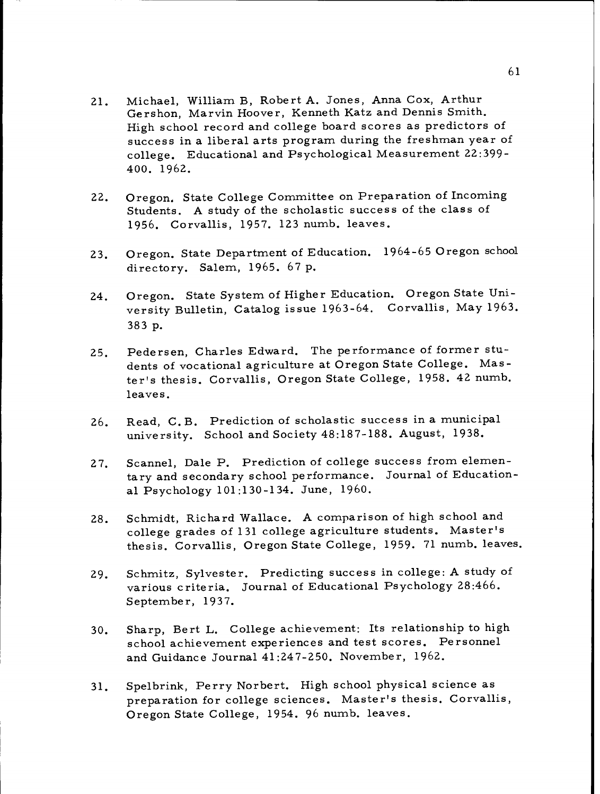- Michael, William B, Robert A. Jones, Anna Cox, Arthur Gershon, Marvin Hoover, Kenneth Katz and Dennis Smith.  $21.$ High school record and college board scores as predictors of success in a liberal arts program during the freshman year of college. Educational and Psychological Measurement 22:399- 400. 1962.
- Oregon, State College Committee on Preparation of Incoming Students. A study of the scholastic success of the class of  $22.$ 1956. Corvallis, 1957. 123 numb. leaves.
- Oregon. State Department of Education. 1964-65 Oregon school  $23.$ directory. Salem, 1965. 67 p.
- Oregon. State System of Higher Education. Oregon State Uni- $24.$ versity Bulletin, Catalog issue 1963-64. Corvallis, May 1963. 383 p.
- Pedersen, Charles Edward. The performance of former stu- dents of vocational agriculture at Oregon State College. Mas- $25.$ ter's thesis. Corvallis, Oregon State College, 1958. 42 numb. leaves.
- Read, C. B. Prediction of scholastic success in a municipal  $26.$ university. School and Society 48:187-188. August, 1938.
- Scannel, Dale P. Prediction of college success from elemen- $27.$ tary and secondary school performance. Journal of Educational Psychology 101:130-134. June, 1960.
- Schmidt, Richard Wallace. A comparison of high school and  $28.$ college grades of 131 college agriculture students. Master's thesis. Corvallis, Oregon State College, 1959. 71 numb. leaves.
- Schmitz, Sylvester. Predicting success in college: A study of  $29.$ various criteria. Journal of Educational Psychology 28:466. September, 1937.
- Sharp, Bert L. College achievement: Its relationship to high  $30.$ school achievement experiences and test scores. Personnel and Guidance Journal 41:247-250. November, 1962.
- Spelbrink, Perry Norbert. High school physical science as  $31.$ preparation for college sciences. Master's thesis. Corvallis, Oregon State College, 1954. 96 numb. leaves.